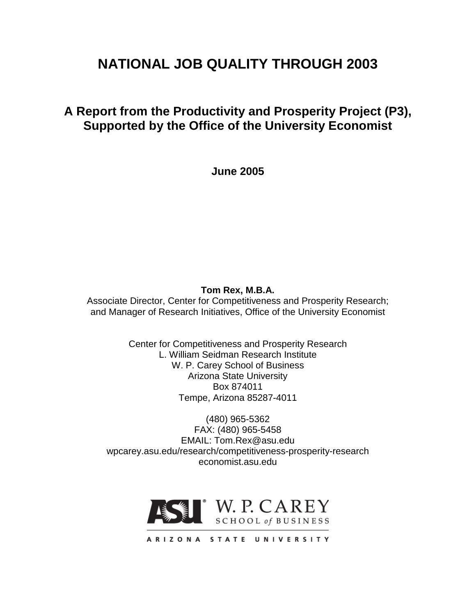# **NATIONAL JOB QUALITY THROUGH 2003**

# **A Report from the Productivity and Prosperity Project (P3), Supported by the Office of the University Economist**

**June 2005**

# **Tom Rex, M.B.A.**

Associate Director, Center for Competitiveness and Prosperity Research; and Manager of Research Initiatives, Office of the University Economist

> Center for Competitiveness and Prosperity Research L. William Seidman Research Institute W. P. Carey School of Business Arizona State University Box 874011 Tempe, Arizona 85287-4011

(480) 965-5362 FAX: (480) 965-5458 EMAIL: Tom.Rex@asu.edu wpcarey.asu.edu/research/competitiveness-prosperity-research economist.asu.edu

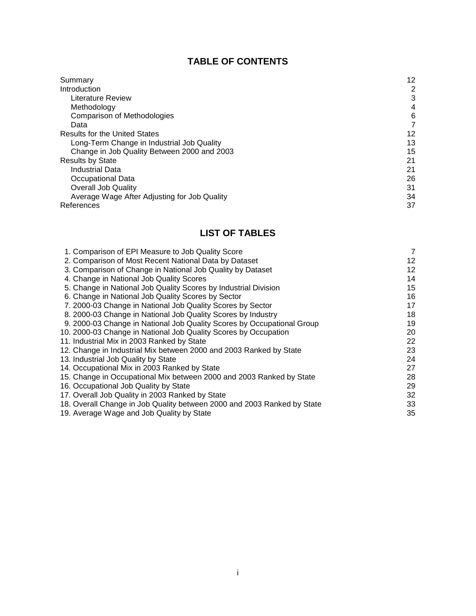# **TABLE OF CONTENTS**

| Summary                                      | 12 |
|----------------------------------------------|----|
| Introduction                                 | 2  |
| Literature Review                            | 3  |
| Methodology                                  | 4  |
| Comparison of Methodologies                  | 6  |
| Data                                         | 7  |
| <b>Results for the United States</b>         | 12 |
| Long-Term Change in Industrial Job Quality   | 13 |
| Change in Job Quality Between 2000 and 2003  | 15 |
| <b>Results by State</b>                      | 21 |
| Industrial Data                              | 21 |
| Occupational Data                            | 26 |
| <b>Overall Job Quality</b>                   | 31 |
| Average Wage After Adjusting for Job Quality | 34 |
| References                                   | 37 |

# **LIST OF TABLES**

| 1. Comparison of EPI Measure to Job Quality Score                       | $\overline{7}$ |
|-------------------------------------------------------------------------|----------------|
| 2. Comparison of Most Recent National Data by Dataset                   | 12             |
| 3. Comparison of Change in National Job Quality by Dataset              | 12             |
| 4. Change in National Job Quality Scores                                | 14             |
| 5. Change in National Job Quality Scores by Industrial Division         | 15             |
| 6. Change in National Job Quality Scores by Sector                      | 16             |
| 7. 2000-03 Change in National Job Quality Scores by Sector              | 17             |
| 8. 2000-03 Change in National Job Quality Scores by Industry            | 18             |
| 9. 2000-03 Change in National Job Quality Scores by Occupational Group  | 19             |
| 10. 2000-03 Change in National Job Quality Scores by Occupation         | 20             |
| 11. Industrial Mix in 2003 Ranked by State                              | 22             |
| 12. Change in Industrial Mix between 2000 and 2003 Ranked by State      | 23             |
| 13. Industrial Job Quality by State                                     | 24             |
| 14. Occupational Mix in 2003 Ranked by State                            | 27             |
| 15. Change in Occupational Mix between 2000 and 2003 Ranked by State    | 28             |
| 16. Occupational Job Quality by State                                   | 29             |
| 17. Overall Job Quality in 2003 Ranked by State                         | 32             |
| 18. Overall Change in Job Quality between 2000 and 2003 Ranked by State | 33             |
| 19. Average Wage and Job Quality by State                               | 35             |
|                                                                         |                |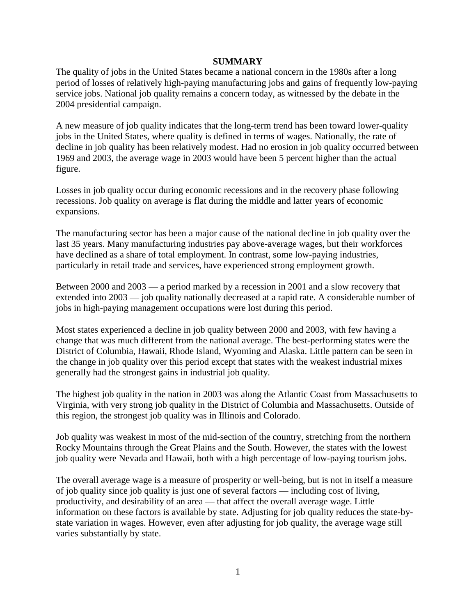#### **SUMMARY**

The quality of jobs in the United States became a national concern in the 1980s after a long period of losses of relatively high-paying manufacturing jobs and gains of frequently low-paying service jobs. National job quality remains a concern today, as witnessed by the debate in the 2004 presidential campaign.

A new measure of job quality indicates that the long-term trend has been toward lower-quality jobs in the United States, where quality is defined in terms of wages. Nationally, the rate of decline in job quality has been relatively modest. Had no erosion in job quality occurred between 1969 and 2003, the average wage in 2003 would have been 5 percent higher than the actual figure.

Losses in job quality occur during economic recessions and in the recovery phase following recessions. Job quality on average is flat during the middle and latter years of economic expansions.

The manufacturing sector has been a major cause of the national decline in job quality over the last 35 years. Many manufacturing industries pay above-average wages, but their workforces have declined as a share of total employment. In contrast, some low-paying industries, particularly in retail trade and services, have experienced strong employment growth.

Between 2000 and 2003 — a period marked by a recession in 2001 and a slow recovery that extended into 2003 — job quality nationally decreased at a rapid rate. A considerable number of jobs in high-paying management occupations were lost during this period.

Most states experienced a decline in job quality between 2000 and 2003, with few having a change that was much different from the national average. The best-performing states were the District of Columbia, Hawaii, Rhode Island, Wyoming and Alaska. Little pattern can be seen in the change in job quality over this period except that states with the weakest industrial mixes generally had the strongest gains in industrial job quality.

The highest job quality in the nation in 2003 was along the Atlantic Coast from Massachusetts to Virginia, with very strong job quality in the District of Columbia and Massachusetts. Outside of this region, the strongest job quality was in Illinois and Colorado.

Job quality was weakest in most of the mid-section of the country, stretching from the northern Rocky Mountains through the Great Plains and the South. However, the states with the lowest job quality were Nevada and Hawaii, both with a high percentage of low-paying tourism jobs.

The overall average wage is a measure of prosperity or well-being, but is not in itself a measure of job quality since job quality is just one of several factors — including cost of living, productivity, and desirability of an area — that affect the overall average wage. Little information on these factors is available by state. Adjusting for job quality reduces the state-bystate variation in wages. However, even after adjusting for job quality, the average wage still varies substantially by state.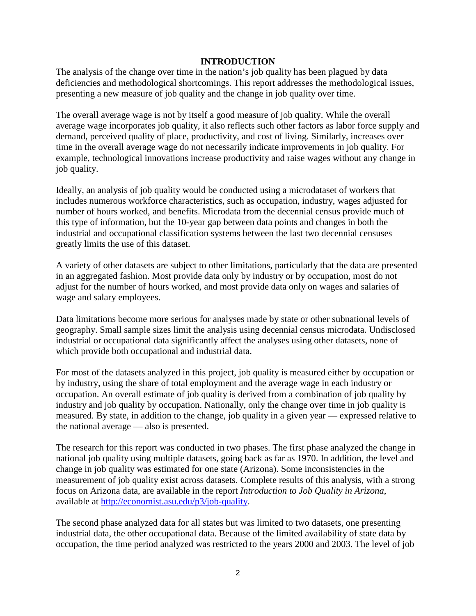#### **INTRODUCTION**

The analysis of the change over time in the nation's job quality has been plagued by data deficiencies and methodological shortcomings. This report addresses the methodological issues, presenting a new measure of job quality and the change in job quality over time.

The overall average wage is not by itself a good measure of job quality. While the overall average wage incorporates job quality, it also reflects such other factors as labor force supply and demand, perceived quality of place, productivity, and cost of living. Similarly, increases over time in the overall average wage do not necessarily indicate improvements in job quality. For example, technological innovations increase productivity and raise wages without any change in job quality.

Ideally, an analysis of job quality would be conducted using a microdataset of workers that includes numerous workforce characteristics, such as occupation, industry, wages adjusted for number of hours worked, and benefits. Microdata from the decennial census provide much of this type of information, but the 10-year gap between data points and changes in both the industrial and occupational classification systems between the last two decennial censuses greatly limits the use of this dataset.

A variety of other datasets are subject to other limitations, particularly that the data are presented in an aggregated fashion. Most provide data only by industry or by occupation, most do not adjust for the number of hours worked, and most provide data only on wages and salaries of wage and salary employees.

Data limitations become more serious for analyses made by state or other subnational levels of geography. Small sample sizes limit the analysis using decennial census microdata. Undisclosed industrial or occupational data significantly affect the analyses using other datasets, none of which provide both occupational and industrial data.

For most of the datasets analyzed in this project, job quality is measured either by occupation or by industry, using the share of total employment and the average wage in each industry or occupation. An overall estimate of job quality is derived from a combination of job quality by industry and job quality by occupation. Nationally, only the change over time in job quality is measured. By state, in addition to the change, job quality in a given year — expressed relative to the national average — also is presented.

The research for this report was conducted in two phases. The first phase analyzed the change in national job quality using multiple datasets, going back as far as 1970. In addition, the level and change in job quality was estimated for one state (Arizona). Some inconsistencies in the measurement of job quality exist across datasets. Complete results of this analysis, with a strong focus on Arizona data, are available in the report *Introduction to Job Quality in Arizona*, available at [http://economist.asu.edu/p3/job-quality.](http://economist.asu.edu/p3/job-quality)

The second phase analyzed data for all states but was limited to two datasets, one presenting industrial data, the other occupational data. Because of the limited availability of state data by occupation, the time period analyzed was restricted to the years 2000 and 2003. The level of job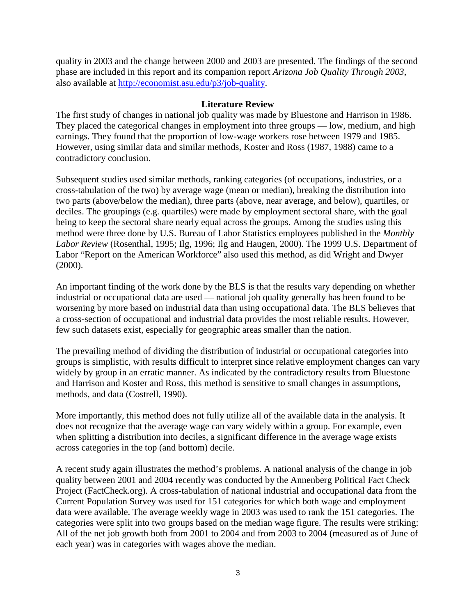quality in 2003 and the change between 2000 and 2003 are presented. The findings of the second phase are included in this report and its companion report *Arizona Job Quality Through 2003*, also available at [http://economist.asu.edu/p3/job-quality.](http://economist.asu.edu/p3/job-quality)

#### **Literature Review**

The first study of changes in national job quality was made by Bluestone and Harrison in 1986. They placed the categorical changes in employment into three groups — low, medium, and high earnings. They found that the proportion of low-wage workers rose between 1979 and 1985. However, using similar data and similar methods, Koster and Ross (1987, 1988) came to a contradictory conclusion.

Subsequent studies used similar methods, ranking categories (of occupations, industries, or a cross-tabulation of the two) by average wage (mean or median), breaking the distribution into two parts (above/below the median), three parts (above, near average, and below), quartiles, or deciles. The groupings (e.g. quartiles) were made by employment sectoral share, with the goal being to keep the sectoral share nearly equal across the groups. Among the studies using this method were three done by U.S. Bureau of Labor Statistics employees published in the *Monthly Labor Review* (Rosenthal, 1995; Ilg, 1996; Ilg and Haugen, 2000). The 1999 U.S. Department of Labor "Report on the American Workforce" also used this method, as did Wright and Dwyer (2000).

An important finding of the work done by the BLS is that the results vary depending on whether industrial or occupational data are used — national job quality generally has been found to be worsening by more based on industrial data than using occupational data. The BLS believes that a cross-section of occupational and industrial data provides the most reliable results. However, few such datasets exist, especially for geographic areas smaller than the nation.

The prevailing method of dividing the distribution of industrial or occupational categories into groups is simplistic, with results difficult to interpret since relative employment changes can vary widely by group in an erratic manner. As indicated by the contradictory results from Bluestone and Harrison and Koster and Ross, this method is sensitive to small changes in assumptions, methods, and data (Costrell, 1990).

More importantly, this method does not fully utilize all of the available data in the analysis. It does not recognize that the average wage can vary widely within a group. For example, even when splitting a distribution into deciles, a significant difference in the average wage exists across categories in the top (and bottom) decile.

A recent study again illustrates the method's problems. A national analysis of the change in job quality between 2001 and 2004 recently was conducted by the Annenberg Political Fact Check Project (FactCheck.org). A cross-tabulation of national industrial and occupational data from the Current Population Survey was used for 151 categories for which both wage and employment data were available. The average weekly wage in 2003 was used to rank the 151 categories. The categories were split into two groups based on the median wage figure. The results were striking: All of the net job growth both from 2001 to 2004 and from 2003 to 2004 (measured as of June of each year) was in categories with wages above the median.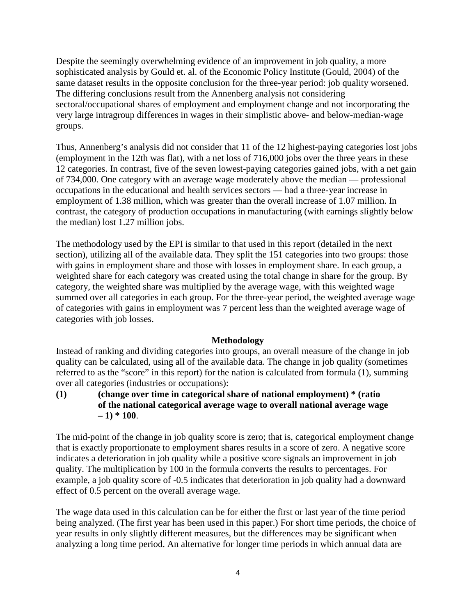Despite the seemingly overwhelming evidence of an improvement in job quality, a more sophisticated analysis by Gould et. al. of the Economic Policy Institute (Gould, 2004) of the same dataset results in the opposite conclusion for the three-year period: job quality worsened. The differing conclusions result from the Annenberg analysis not considering sectoral/occupational shares of employment and employment change and not incorporating the very large intragroup differences in wages in their simplistic above- and below-median-wage groups.

Thus, Annenberg's analysis did not consider that 11 of the 12 highest-paying categories lost jobs (employment in the 12th was flat), with a net loss of 716,000 jobs over the three years in these 12 categories. In contrast, five of the seven lowest-paying categories gained jobs, with a net gain of 734,000. One category with an average wage moderately above the median — professional occupations in the educational and health services sectors — had a three-year increase in employment of 1.38 million, which was greater than the overall increase of 1.07 million. In contrast, the category of production occupations in manufacturing (with earnings slightly below the median) lost 1.27 million jobs.

The methodology used by the EPI is similar to that used in this report (detailed in the next section), utilizing all of the available data. They split the 151 categories into two groups: those with gains in employment share and those with losses in employment share. In each group, a weighted share for each category was created using the total change in share for the group. By category, the weighted share was multiplied by the average wage, with this weighted wage summed over all categories in each group. For the three-year period, the weighted average wage of categories with gains in employment was 7 percent less than the weighted average wage of categories with job losses.

#### **Methodology**

Instead of ranking and dividing categories into groups, an overall measure of the change in job quality can be calculated, using all of the available data. The change in job quality (sometimes referred to as the "score" in this report) for the nation is calculated from formula (1), summing over all categories (industries or occupations):

## **(1) (change over time in categorical share of national employment) \* (ratio of the national categorical average wage to overall national average wage**   $-1$ <sup>\*</sup> 100.

The mid-point of the change in job quality score is zero; that is, categorical employment change that is exactly proportionate to employment shares results in a score of zero. A negative score indicates a deterioration in job quality while a positive score signals an improvement in job quality. The multiplication by 100 in the formula converts the results to percentages. For example, a job quality score of -0.5 indicates that deterioration in job quality had a downward effect of 0.5 percent on the overall average wage.

The wage data used in this calculation can be for either the first or last year of the time period being analyzed. (The first year has been used in this paper.) For short time periods, the choice of year results in only slightly different measures, but the differences may be significant when analyzing a long time period. An alternative for longer time periods in which annual data are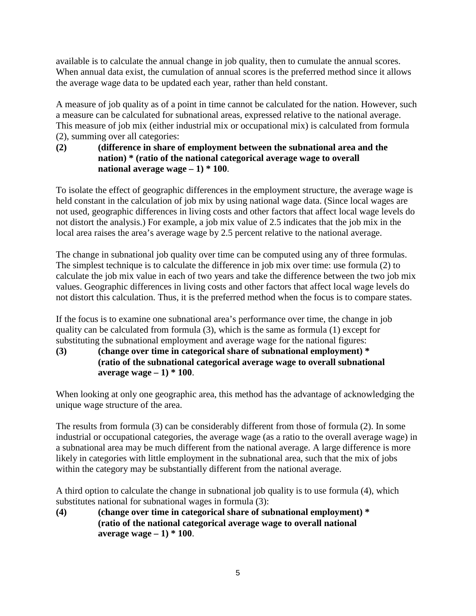available is to calculate the annual change in job quality, then to cumulate the annual scores. When annual data exist, the cumulation of annual scores is the preferred method since it allows the average wage data to be updated each year, rather than held constant.

A measure of job quality as of a point in time cannot be calculated for the nation. However, such a measure can be calculated for subnational areas, expressed relative to the national average. This measure of job mix (either industrial mix or occupational mix) is calculated from formula (2), summing over all categories:

# **(2) (difference in share of employment between the subnational area and the nation) \* (ratio of the national categorical average wage to overall national average wage – 1) \* 100**.

To isolate the effect of geographic differences in the employment structure, the average wage is held constant in the calculation of job mix by using national wage data. (Since local wages are not used, geographic differences in living costs and other factors that affect local wage levels do not distort the analysis.) For example, a job mix value of 2.5 indicates that the job mix in the local area raises the area's average wage by 2.5 percent relative to the national average.

The change in subnational job quality over time can be computed using any of three formulas. The simplest technique is to calculate the difference in job mix over time: use formula (2) to calculate the job mix value in each of two years and take the difference between the two job mix values. Geographic differences in living costs and other factors that affect local wage levels do not distort this calculation. Thus, it is the preferred method when the focus is to compare states.

If the focus is to examine one subnational area's performance over time, the change in job quality can be calculated from formula (3), which is the same as formula (1) except for substituting the subnational employment and average wage for the national figures:

# **(3) (change over time in categorical share of subnational employment) \* (ratio of the subnational categorical average wage to overall subnational average wage – 1) \* 100**.

When looking at only one geographic area, this method has the advantage of acknowledging the unique wage structure of the area.

The results from formula (3) can be considerably different from those of formula (2). In some industrial or occupational categories, the average wage (as a ratio to the overall average wage) in a subnational area may be much different from the national average. A large difference is more likely in categories with little employment in the subnational area, such that the mix of jobs within the category may be substantially different from the national average.

A third option to calculate the change in subnational job quality is to use formula (4), which substitutes national for subnational wages in formula (3):

**(4) (change over time in categorical share of subnational employment) \* (ratio of the national categorical average wage to overall national average wage – 1) \* 100**.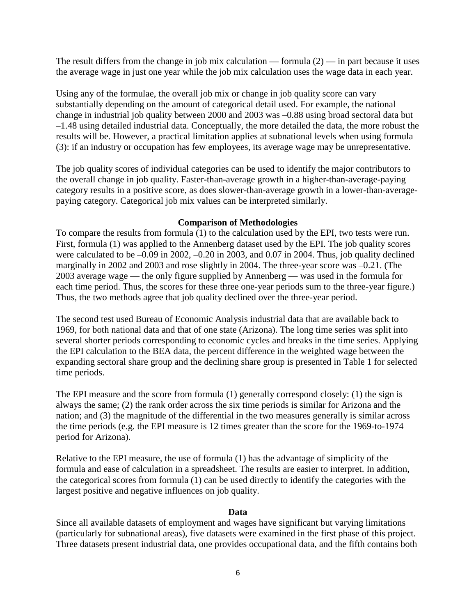The result differs from the change in job mix calculation — formula  $(2)$  — in part because it uses the average wage in just one year while the job mix calculation uses the wage data in each year.

Using any of the formulae, the overall job mix or change in job quality score can vary substantially depending on the amount of categorical detail used. For example, the national change in industrial job quality between 2000 and 2003 was –0.88 using broad sectoral data but –1.48 using detailed industrial data. Conceptually, the more detailed the data, the more robust the results will be. However, a practical limitation applies at subnational levels when using formula (3): if an industry or occupation has few employees, its average wage may be unrepresentative.

The job quality scores of individual categories can be used to identify the major contributors to the overall change in job quality. Faster-than-average growth in a higher-than-average-paying category results in a positive score, as does slower-than-average growth in a lower-than-averagepaying category. Categorical job mix values can be interpreted similarly.

#### **Comparison of Methodologies**

To compare the results from formula (1) to the calculation used by the EPI, two tests were run. First, formula (1) was applied to the Annenberg dataset used by the EPI. The job quality scores were calculated to be  $-0.09$  in 2002,  $-0.20$  in 2003, and 0.07 in 2004. Thus, job quality declined marginally in 2002 and 2003 and rose slightly in 2004. The three-year score was –0.21. (The 2003 average wage — the only figure supplied by Annenberg — was used in the formula for each time period. Thus, the scores for these three one-year periods sum to the three-year figure.) Thus, the two methods agree that job quality declined over the three-year period.

The second test used Bureau of Economic Analysis industrial data that are available back to 1969, for both national data and that of one state (Arizona). The long time series was split into several shorter periods corresponding to economic cycles and breaks in the time series. Applying the EPI calculation to the BEA data, the percent difference in the weighted wage between the expanding sectoral share group and the declining share group is presented in Table 1 for selected time periods.

The EPI measure and the score from formula (1) generally correspond closely: (1) the sign is always the same; (2) the rank order across the six time periods is similar for Arizona and the nation; and (3) the magnitude of the differential in the two measures generally is similar across the time periods (e.g. the EPI measure is 12 times greater than the score for the 1969-to-1974 period for Arizona).

Relative to the EPI measure, the use of formula (1) has the advantage of simplicity of the formula and ease of calculation in a spreadsheet. The results are easier to interpret. In addition, the categorical scores from formula (1) can be used directly to identify the categories with the largest positive and negative influences on job quality.

#### **Data**

Since all available datasets of employment and wages have significant but varying limitations (particularly for subnational areas), five datasets were examined in the first phase of this project. Three datasets present industrial data, one provides occupational data, and the fifth contains both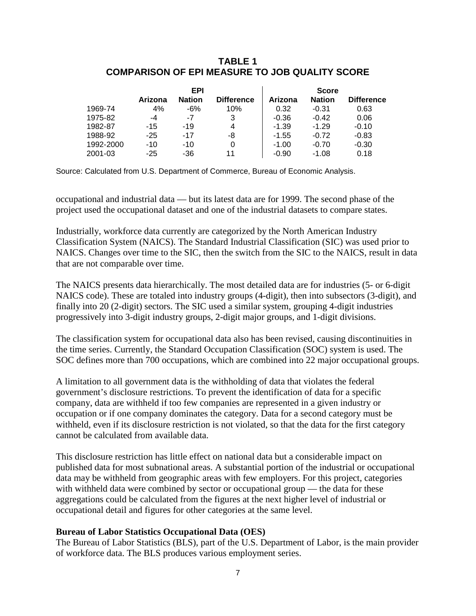#### **TABLE 1 COMPARISON OF EPI MEASURE TO JOB QUALITY SCORE**

|           | EPI     |               |                   | <b>Score</b> |               |                   |
|-----------|---------|---------------|-------------------|--------------|---------------|-------------------|
|           | Arizona | <b>Nation</b> | <b>Difference</b> | Arizona      | <b>Nation</b> | <b>Difference</b> |
| 1969-74   | 4%      | -6%           | 10%               | 0.32         | $-0.31$       | 0.63              |
| 1975-82   | -4      | -7            | 3                 | $-0.36$      | $-0.42$       | 0.06              |
| 1982-87   | $-15$   | -19           | 4                 | $-1.39$      | $-1.29$       | $-0.10$           |
| 1988-92   | $-25$   | $-17$         | -8                | $-1.55$      | $-0.72$       | $-0.83$           |
| 1992-2000 | $-10$   | $-10$         | 0                 | $-1.00$      | $-0.70$       | $-0.30$           |
| 2001-03   | $-25$   | -36           | 11                | $-0.90$      | $-1.08$       | 0.18              |

Source: Calculated from U.S. Department of Commerce, Bureau of Economic Analysis.

occupational and industrial data — but its latest data are for 1999. The second phase of the project used the occupational dataset and one of the industrial datasets to compare states.

Industrially, workforce data currently are categorized by the North American Industry Classification System (NAICS). The Standard Industrial Classification (SIC) was used prior to NAICS. Changes over time to the SIC, then the switch from the SIC to the NAICS, result in data that are not comparable over time.

The NAICS presents data hierarchically. The most detailed data are for industries (5- or 6-digit NAICS code). These are totaled into industry groups (4-digit), then into subsectors (3-digit), and finally into 20 (2-digit) sectors. The SIC used a similar system, grouping 4-digit industries progressively into 3-digit industry groups, 2-digit major groups, and 1-digit divisions.

The classification system for occupational data also has been revised, causing discontinuities in the time series. Currently, the Standard Occupation Classification (SOC) system is used. The SOC defines more than 700 occupations, which are combined into 22 major occupational groups.

A limitation to all government data is the withholding of data that violates the federal government's disclosure restrictions. To prevent the identification of data for a specific company, data are withheld if too few companies are represented in a given industry or occupation or if one company dominates the category. Data for a second category must be withheld, even if its disclosure restriction is not violated, so that the data for the first category cannot be calculated from available data.

This disclosure restriction has little effect on national data but a considerable impact on published data for most subnational areas. A substantial portion of the industrial or occupational data may be withheld from geographic areas with few employers. For this project, categories with withheld data were combined by sector or occupational group — the data for these aggregations could be calculated from the figures at the next higher level of industrial or occupational detail and figures for other categories at the same level.

#### **Bureau of Labor Statistics Occupational Data (OES)**

The Bureau of Labor Statistics (BLS), part of the U.S. Department of Labor, is the main provider of workforce data. The BLS produces various employment series.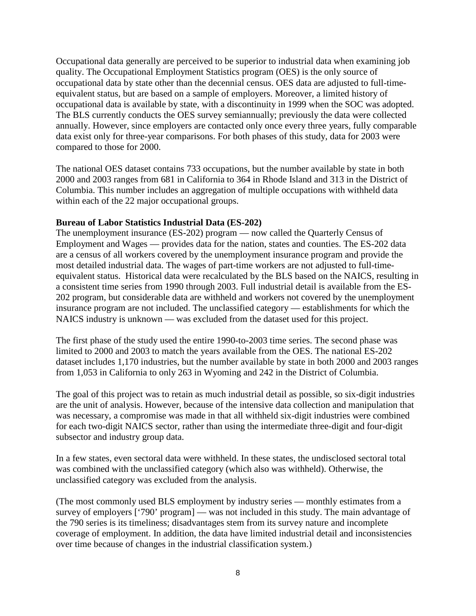Occupational data generally are perceived to be superior to industrial data when examining job quality. The Occupational Employment Statistics program (OES) is the only source of occupational data by state other than the decennial census. OES data are adjusted to full-timeequivalent status, but are based on a sample of employers. Moreover, a limited history of occupational data is available by state, with a discontinuity in 1999 when the SOC was adopted. The BLS currently conducts the OES survey semiannually; previously the data were collected annually. However, since employers are contacted only once every three years, fully comparable data exist only for three-year comparisons. For both phases of this study, data for 2003 were compared to those for 2000.

The national OES dataset contains 733 occupations, but the number available by state in both 2000 and 2003 ranges from 681 in California to 364 in Rhode Island and 313 in the District of Columbia. This number includes an aggregation of multiple occupations with withheld data within each of the 22 major occupational groups.

## **Bureau of Labor Statistics Industrial Data (ES-202)**

The unemployment insurance (ES-202) program — now called the Quarterly Census of Employment and Wages — provides data for the nation, states and counties. The ES-202 data are a census of all workers covered by the unemployment insurance program and provide the most detailed industrial data. The wages of part-time workers are not adjusted to full-timeequivalent status. Historical data were recalculated by the BLS based on the NAICS, resulting in a consistent time series from 1990 through 2003. Full industrial detail is available from the ES-202 program, but considerable data are withheld and workers not covered by the unemployment insurance program are not included. The unclassified category — establishments for which the NAICS industry is unknown — was excluded from the dataset used for this project.

The first phase of the study used the entire 1990-to-2003 time series. The second phase was limited to 2000 and 2003 to match the years available from the OES. The national ES-202 dataset includes 1,170 industries, but the number available by state in both 2000 and 2003 ranges from 1,053 in California to only 263 in Wyoming and 242 in the District of Columbia.

The goal of this project was to retain as much industrial detail as possible, so six-digit industries are the unit of analysis. However, because of the intensive data collection and manipulation that was necessary, a compromise was made in that all withheld six-digit industries were combined for each two-digit NAICS sector, rather than using the intermediate three-digit and four-digit subsector and industry group data.

In a few states, even sectoral data were withheld. In these states, the undisclosed sectoral total was combined with the unclassified category (which also was withheld). Otherwise, the unclassified category was excluded from the analysis.

(The most commonly used BLS employment by industry series — monthly estimates from a survey of employers ['790' program] — was not included in this study. The main advantage of the 790 series is its timeliness; disadvantages stem from its survey nature and incomplete coverage of employment. In addition, the data have limited industrial detail and inconsistencies over time because of changes in the industrial classification system.)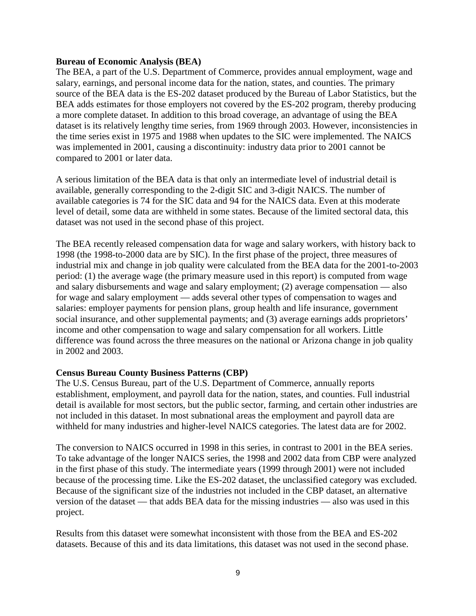#### **Bureau of Economic Analysis (BEA)**

The BEA, a part of the U.S. Department of Commerce, provides annual employment, wage and salary, earnings, and personal income data for the nation, states, and counties. The primary source of the BEA data is the ES-202 dataset produced by the Bureau of Labor Statistics, but the BEA adds estimates for those employers not covered by the ES-202 program, thereby producing a more complete dataset. In addition to this broad coverage, an advantage of using the BEA dataset is its relatively lengthy time series, from 1969 through 2003. However, inconsistencies in the time series exist in 1975 and 1988 when updates to the SIC were implemented. The NAICS was implemented in 2001, causing a discontinuity: industry data prior to 2001 cannot be compared to 2001 or later data.

A serious limitation of the BEA data is that only an intermediate level of industrial detail is available, generally corresponding to the 2-digit SIC and 3-digit NAICS. The number of available categories is 74 for the SIC data and 94 for the NAICS data. Even at this moderate level of detail, some data are withheld in some states. Because of the limited sectoral data, this dataset was not used in the second phase of this project.

The BEA recently released compensation data for wage and salary workers, with history back to 1998 (the 1998-to-2000 data are by SIC). In the first phase of the project, three measures of industrial mix and change in job quality were calculated from the BEA data for the 2001-to-2003 period: (1) the average wage (the primary measure used in this report) is computed from wage and salary disbursements and wage and salary employment; (2) average compensation — also for wage and salary employment — adds several other types of compensation to wages and salaries: employer payments for pension plans, group health and life insurance, government social insurance, and other supplemental payments; and (3) average earnings adds proprietors' income and other compensation to wage and salary compensation for all workers. Little difference was found across the three measures on the national or Arizona change in job quality in 2002 and 2003.

#### **Census Bureau County Business Patterns (CBP)**

The U.S. Census Bureau, part of the U.S. Department of Commerce, annually reports establishment, employment, and payroll data for the nation, states, and counties. Full industrial detail is available for most sectors, but the public sector, farming, and certain other industries are not included in this dataset. In most subnational areas the employment and payroll data are withheld for many industries and higher-level NAICS categories. The latest data are for 2002.

The conversion to NAICS occurred in 1998 in this series, in contrast to 2001 in the BEA series. To take advantage of the longer NAICS series, the 1998 and 2002 data from CBP were analyzed in the first phase of this study. The intermediate years (1999 through 2001) were not included because of the processing time. Like the ES-202 dataset, the unclassified category was excluded. Because of the significant size of the industries not included in the CBP dataset, an alternative version of the dataset — that adds BEA data for the missing industries — also was used in this project.

Results from this dataset were somewhat inconsistent with those from the BEA and ES-202 datasets. Because of this and its data limitations, this dataset was not used in the second phase.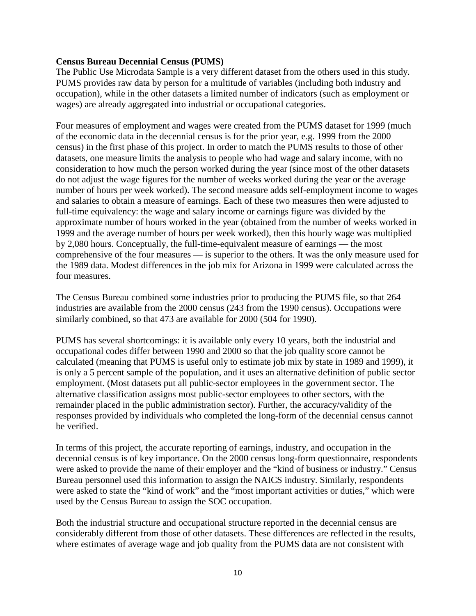#### **Census Bureau Decennial Census (PUMS)**

The Public Use Microdata Sample is a very different dataset from the others used in this study. PUMS provides raw data by person for a multitude of variables (including both industry and occupation), while in the other datasets a limited number of indicators (such as employment or wages) are already aggregated into industrial or occupational categories.

Four measures of employment and wages were created from the PUMS dataset for 1999 (much of the economic data in the decennial census is for the prior year, e.g. 1999 from the 2000 census) in the first phase of this project. In order to match the PUMS results to those of other datasets, one measure limits the analysis to people who had wage and salary income, with no consideration to how much the person worked during the year (since most of the other datasets do not adjust the wage figures for the number of weeks worked during the year or the average number of hours per week worked). The second measure adds self-employment income to wages and salaries to obtain a measure of earnings. Each of these two measures then were adjusted to full-time equivalency: the wage and salary income or earnings figure was divided by the approximate number of hours worked in the year (obtained from the number of weeks worked in 1999 and the average number of hours per week worked), then this hourly wage was multiplied by 2,080 hours. Conceptually, the full-time-equivalent measure of earnings — the most comprehensive of the four measures — is superior to the others. It was the only measure used for the 1989 data. Modest differences in the job mix for Arizona in 1999 were calculated across the four measures.

The Census Bureau combined some industries prior to producing the PUMS file, so that 264 industries are available from the 2000 census (243 from the 1990 census). Occupations were similarly combined, so that 473 are available for 2000 (504 for 1990).

PUMS has several shortcomings: it is available only every 10 years, both the industrial and occupational codes differ between 1990 and 2000 so that the job quality score cannot be calculated (meaning that PUMS is useful only to estimate job mix by state in 1989 and 1999), it is only a 5 percent sample of the population, and it uses an alternative definition of public sector employment. (Most datasets put all public-sector employees in the government sector. The alternative classification assigns most public-sector employees to other sectors, with the remainder placed in the public administration sector). Further, the accuracy/validity of the responses provided by individuals who completed the long-form of the decennial census cannot be verified.

In terms of this project, the accurate reporting of earnings, industry, and occupation in the decennial census is of key importance. On the 2000 census long-form questionnaire, respondents were asked to provide the name of their employer and the "kind of business or industry." Census Bureau personnel used this information to assign the NAICS industry. Similarly, respondents were asked to state the "kind of work" and the "most important activities or duties," which were used by the Census Bureau to assign the SOC occupation.

Both the industrial structure and occupational structure reported in the decennial census are considerably different from those of other datasets. These differences are reflected in the results, where estimates of average wage and job quality from the PUMS data are not consistent with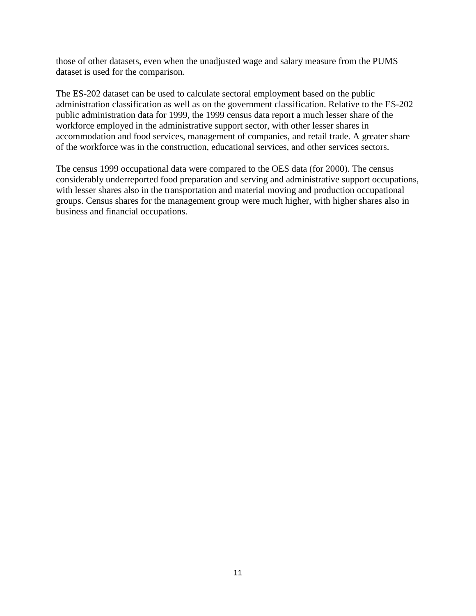those of other datasets, even when the unadjusted wage and salary measure from the PUMS dataset is used for the comparison.

The ES-202 dataset can be used to calculate sectoral employment based on the public administration classification as well as on the government classification. Relative to the ES-202 public administration data for 1999, the 1999 census data report a much lesser share of the workforce employed in the administrative support sector, with other lesser shares in accommodation and food services, management of companies, and retail trade. A greater share of the workforce was in the construction, educational services, and other services sectors.

The census 1999 occupational data were compared to the OES data (for 2000). The census considerably underreported food preparation and serving and administrative support occupations, with lesser shares also in the transportation and material moving and production occupational groups. Census shares for the management group were much higher, with higher shares also in business and financial occupations.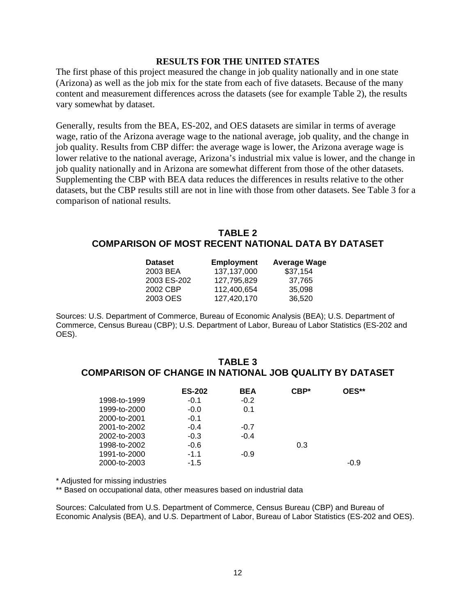#### **RESULTS FOR THE UNITED STATES**

The first phase of this project measured the change in job quality nationally and in one state (Arizona) as well as the job mix for the state from each of five datasets. Because of the many content and measurement differences across the datasets (see for example Table 2), the results vary somewhat by dataset.

Generally, results from the BEA, ES-202, and OES datasets are similar in terms of average wage, ratio of the Arizona average wage to the national average, job quality, and the change in job quality. Results from CBP differ: the average wage is lower, the Arizona average wage is lower relative to the national average, Arizona's industrial mix value is lower, and the change in job quality nationally and in Arizona are somewhat different from those of the other datasets. Supplementing the CBP with BEA data reduces the differences in results relative to the other datasets, but the CBP results still are not in line with those from other datasets. See Table 3 for a comparison of national results.

### **TABLE 2 COMPARISON OF MOST RECENT NATIONAL DATA BY DATASET**

| <b>Employment</b> | <b>Average Wage</b> |
|-------------------|---------------------|
| 137,137,000       | \$37,154            |
| 127.795.829       | 37.765              |
| 112.400.654       | 35,098              |
| 127.420.170       | 36.520              |
|                   |                     |

Sources: U.S. Department of Commerce, Bureau of Economic Analysis (BEA); U.S. Department of Commerce, Census Bureau (CBP); U.S. Department of Labor, Bureau of Labor Statistics (ES-202 and OES).

#### **TABLE 3 COMPARISON OF CHANGE IN NATIONAL JOB QUALITY BY DATASET**

|              | <b>ES-202</b> | <b>BEA</b> | $CBP*$ | OES**  |
|--------------|---------------|------------|--------|--------|
| 1998-to-1999 | $-0.1$        | $-0.2$     |        |        |
| 1999-to-2000 | $-0.0$        | 0.1        |        |        |
| 2000-to-2001 | $-0.1$        |            |        |        |
| 2001-to-2002 | $-0.4$        | $-0.7$     |        |        |
| 2002-to-2003 | $-0.3$        | $-0.4$     |        |        |
| 1998-to-2002 | $-0.6$        |            | 0.3    |        |
| 1991-to-2000 | $-1.1$        | $-0.9$     |        |        |
| 2000-to-2003 | $-1.5$        |            |        | $-0.9$ |

\* Adjusted for missing industries

\*\* Based on occupational data, other measures based on industrial data

Sources: Calculated from U.S. Department of Commerce, Census Bureau (CBP) and Bureau of Economic Analysis (BEA), and U.S. Department of Labor, Bureau of Labor Statistics (ES-202 and OES).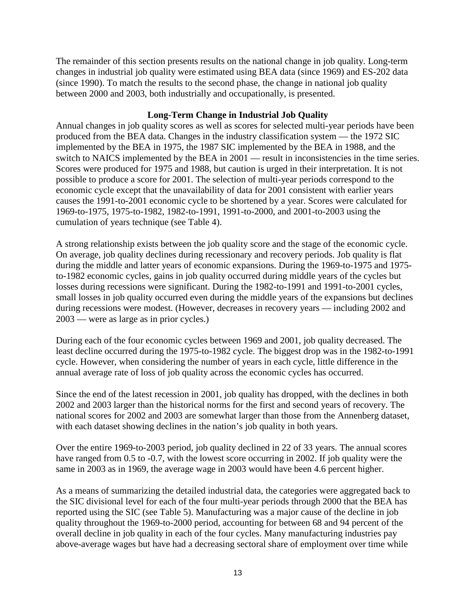The remainder of this section presents results on the national change in job quality. Long-term changes in industrial job quality were estimated using BEA data (since 1969) and ES-202 data (since 1990). To match the results to the second phase, the change in national job quality between 2000 and 2003, both industrially and occupationally, is presented.

#### **Long-Term Change in Industrial Job Quality**

Annual changes in job quality scores as well as scores for selected multi-year periods have been produced from the BEA data. Changes in the industry classification system — the 1972 SIC implemented by the BEA in 1975, the 1987 SIC implemented by the BEA in 1988, and the switch to NAICS implemented by the BEA in 2001 — result in inconsistencies in the time series. Scores were produced for 1975 and 1988, but caution is urged in their interpretation. It is not possible to produce a score for 2001. The selection of multi-year periods correspond to the economic cycle except that the unavailability of data for 2001 consistent with earlier years causes the 1991-to-2001 economic cycle to be shortened by a year. Scores were calculated for 1969-to-1975, 1975-to-1982, 1982-to-1991, 1991-to-2000, and 2001-to-2003 using the cumulation of years technique (see Table 4).

A strong relationship exists between the job quality score and the stage of the economic cycle. On average, job quality declines during recessionary and recovery periods. Job quality is flat during the middle and latter years of economic expansions. During the 1969-to-1975 and 1975 to-1982 economic cycles, gains in job quality occurred during middle years of the cycles but losses during recessions were significant. During the 1982-to-1991 and 1991-to-2001 cycles, small losses in job quality occurred even during the middle years of the expansions but declines during recessions were modest. (However, decreases in recovery years — including 2002 and 2003 — were as large as in prior cycles.)

During each of the four economic cycles between 1969 and 2001, job quality decreased. The least decline occurred during the 1975-to-1982 cycle. The biggest drop was in the 1982-to-1991 cycle. However, when considering the number of years in each cycle, little difference in the annual average rate of loss of job quality across the economic cycles has occurred.

Since the end of the latest recession in 2001, job quality has dropped, with the declines in both 2002 and 2003 larger than the historical norms for the first and second years of recovery. The national scores for 2002 and 2003 are somewhat larger than those from the Annenberg dataset, with each dataset showing declines in the nation's job quality in both years.

Over the entire 1969-to-2003 period, job quality declined in 22 of 33 years. The annual scores have ranged from 0.5 to -0.7, with the lowest score occurring in 2002. If job quality were the same in 2003 as in 1969, the average wage in 2003 would have been 4.6 percent higher.

As a means of summarizing the detailed industrial data, the categories were aggregated back to the SIC divisional level for each of the four multi-year periods through 2000 that the BEA has reported using the SIC (see Table 5). Manufacturing was a major cause of the decline in job quality throughout the 1969-to-2000 period, accounting for between 68 and 94 percent of the overall decline in job quality in each of the four cycles. Many manufacturing industries pay above-average wages but have had a decreasing sectoral share of employment over time while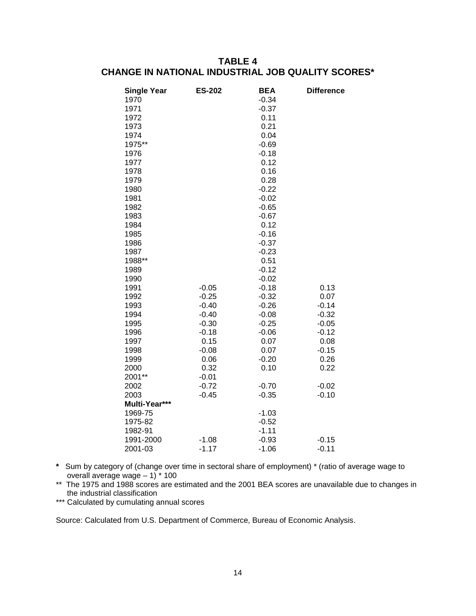# **TABLE 4 CHANGE IN NATIONAL INDUSTRIAL JOB QUALITY SCORES\***

| <b>Single Year</b> | <b>ES-202</b> | <b>BEA</b> | <b>Difference</b> |
|--------------------|---------------|------------|-------------------|
| 1970               |               | $-0.34$    |                   |
| 1971               |               | $-0.37$    |                   |
| 1972               |               | 0.11       |                   |
| 1973               |               | 0.21       |                   |
| 1974               |               | 0.04       |                   |
| 1975**             |               | $-0.69$    |                   |
| 1976               |               | $-0.18$    |                   |
| 1977               |               | 0.12       |                   |
| 1978               |               | 0.16       |                   |
| 1979               |               | 0.28       |                   |
| 1980               |               | $-0.22$    |                   |
| 1981               |               | $-0.02$    |                   |
| 1982               |               | $-0.65$    |                   |
| 1983               |               | $-0.67$    |                   |
| 1984               |               | 0.12       |                   |
| 1985               |               | $-0.16$    |                   |
| 1986               |               | $-0.37$    |                   |
| 1987               |               | $-0.23$    |                   |
| 1988**             |               | 0.51       |                   |
| 1989               |               | $-0.12$    |                   |
| 1990               |               | $-0.02$    |                   |
| 1991               | $-0.05$       | $-0.18$    | 0.13              |
| 1992               | $-0.25$       | $-0.32$    | 0.07              |
| 1993               | $-0.40$       | $-0.26$    | $-0.14$           |
| 1994               | $-0.40$       | $-0.08$    | $-0.32$           |
| 1995               | $-0.30$       | $-0.25$    | $-0.05$           |
| 1996               | $-0.18$       | $-0.06$    | $-0.12$           |
| 1997               | 0.15          | 0.07       | 0.08              |
| 1998               | $-0.08$       | 0.07       | $-0.15$           |
| 1999               | 0.06          | $-0.20$    | 0.26              |
| 2000               | 0.32          | 0.10       | 0.22              |
| 2001**             | $-0.01$       |            |                   |
| 2002               | $-0.72$       | $-0.70$    | $-0.02$           |
| 2003               | $-0.45$       | $-0.35$    | $-0.10$           |
| Multi-Year***      |               |            |                   |
| 1969-75            |               | $-1.03$    |                   |
| 1975-82            |               | $-0.52$    |                   |
| 1982-91            |               | $-1.11$    |                   |
| 1991-2000          | $-1.08$       | $-0.93$    | $-0.15$           |
| 2001-03            | $-1.17$       | $-1.06$    | $-0.11$           |

**\*** Sum by category of (change over time in sectoral share of employment) \* (ratio of average wage to overall average wage – 1) \* 100

\*\* The 1975 and 1988 scores are estimated and the 2001 BEA scores are unavailable due to changes in the industrial classification

\*\*\* Calculated by cumulating annual scores

Source: Calculated from U.S. Department of Commerce, Bureau of Economic Analysis.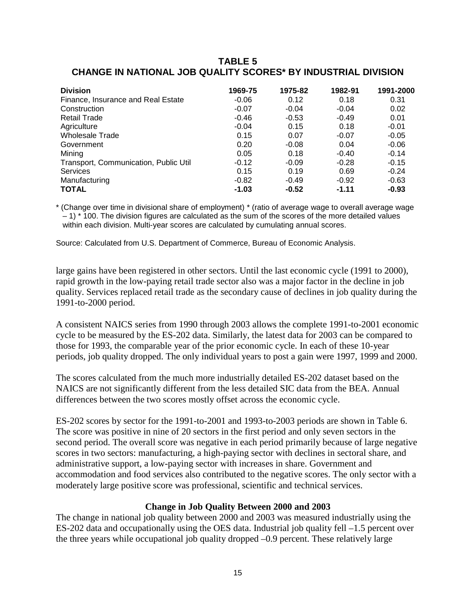## **TABLE 5 CHANGE IN NATIONAL JOB QUALITY SCORES\* BY INDUSTRIAL DIVISION**

| <b>Division</b>                       | 1969-75 | 1975-82 | 1982-91 | 1991-2000 |
|---------------------------------------|---------|---------|---------|-----------|
| Finance, Insurance and Real Estate    | $-0.06$ | 0.12    | 0.18    | 0.31      |
| Construction                          | $-0.07$ | $-0.04$ | $-0.04$ | 0.02      |
| <b>Retail Trade</b>                   | $-0.46$ | $-0.53$ | $-0.49$ | 0.01      |
| Agriculture                           | $-0.04$ | 0.15    | 0.18    | $-0.01$   |
| <b>Wholesale Trade</b>                | 0.15    | 0.07    | $-0.07$ | $-0.05$   |
| Government                            | 0.20    | $-0.08$ | 0.04    | $-0.06$   |
| Mining                                | 0.05    | 0.18    | $-0.40$ | $-0.14$   |
| Transport, Communication, Public Util | $-0.12$ | $-0.09$ | $-0.28$ | $-0.15$   |
| <b>Services</b>                       | 0.15    | 0.19    | 0.69    | $-0.24$   |
| Manufacturing                         | $-0.82$ | $-0.49$ | $-0.92$ | $-0.63$   |
| <b>TOTAL</b>                          | $-1.03$ | $-0.52$ | $-1.11$ | $-0.93$   |

\* (Change over time in divisional share of employment) \* (ratio of average wage to overall average wage  $-1$ )  $*$  100. The division figures are calculated as the sum of the scores of the more detailed values within each division. Multi-year scores are calculated by cumulating annual scores.

Source: Calculated from U.S. Department of Commerce, Bureau of Economic Analysis.

large gains have been registered in other sectors. Until the last economic cycle (1991 to 2000), rapid growth in the low-paying retail trade sector also was a major factor in the decline in job quality. Services replaced retail trade as the secondary cause of declines in job quality during the 1991-to-2000 period.

A consistent NAICS series from 1990 through 2003 allows the complete 1991-to-2001 economic cycle to be measured by the ES-202 data. Similarly, the latest data for 2003 can be compared to those for 1993, the comparable year of the prior economic cycle. In each of these 10-year periods, job quality dropped. The only individual years to post a gain were 1997, 1999 and 2000.

The scores calculated from the much more industrially detailed ES-202 dataset based on the NAICS are not significantly different from the less detailed SIC data from the BEA. Annual differences between the two scores mostly offset across the economic cycle.

ES-202 scores by sector for the 1991-to-2001 and 1993-to-2003 periods are shown in Table 6. The score was positive in nine of 20 sectors in the first period and only seven sectors in the second period. The overall score was negative in each period primarily because of large negative scores in two sectors: manufacturing, a high-paying sector with declines in sectoral share, and administrative support, a low-paying sector with increases in share. Government and accommodation and food services also contributed to the negative scores. The only sector with a moderately large positive score was professional, scientific and technical services.

#### **Change in Job Quality Between 2000 and 2003**

The change in national job quality between 2000 and 2003 was measured industrially using the ES-202 data and occupationally using the OES data. Industrial job quality fell –1.5 percent over the three years while occupational job quality dropped –0.9 percent. These relatively large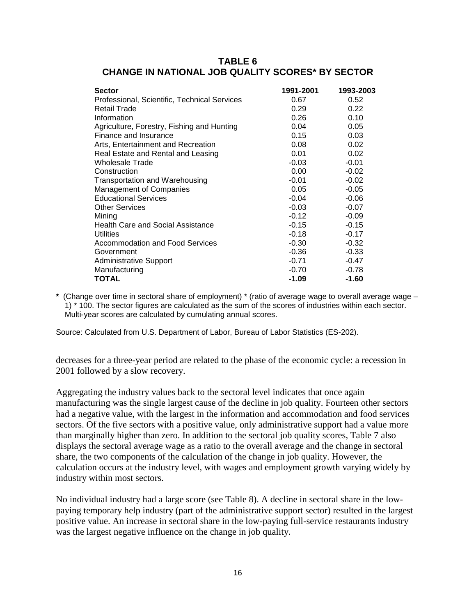| TABLE 6                                                 |
|---------------------------------------------------------|
| <b>CHANGE IN NATIONAL JOB QUALITY SCORES* BY SECTOR</b> |

| <b>Sector</b>                                | 1991-2001 | 1993-2003 |
|----------------------------------------------|-----------|-----------|
| Professional, Scientific, Technical Services | 0.67      | 0.52      |
| Retail Trade                                 | 0.29      | 0.22      |
| Information                                  | 0.26      | 0.10      |
| Agriculture, Forestry, Fishing and Hunting   | 0.04      | 0.05      |
| Finance and Insurance                        | 0.15      | 0.03      |
| Arts, Entertainment and Recreation           | 0.08      | 0.02      |
| Real Estate and Rental and Leasing           | 0.01      | 0.02      |
| Wholesale Trade                              | $-0.03$   | $-0.01$   |
| Construction                                 | 0.00      | $-0.02$   |
| Transportation and Warehousing               | $-0.01$   | $-0.02$   |
| Management of Companies                      | 0.05      | $-0.05$   |
| <b>Educational Services</b>                  | $-0.04$   | $-0.06$   |
| <b>Other Services</b>                        | $-0.03$   | $-0.07$   |
| Mining                                       | $-0.12$   | $-0.09$   |
| <b>Health Care and Social Assistance</b>     | $-0.15$   | $-0.15$   |
| <b>Utilities</b>                             | $-0.18$   | $-0.17$   |
| <b>Accommodation and Food Services</b>       | $-0.30$   | $-0.32$   |
| Government                                   | $-0.36$   | $-0.33$   |
| <b>Administrative Support</b>                | $-0.71$   | $-0.47$   |
| Manufacturing                                | $-0.70$   | $-0.78$   |
| TOTAL                                        | $-1.09$   | $-1.60$   |

**\*** (Change over time in sectoral share of employment) \* (ratio of average wage to overall average wage – 1) \* 100. The sector figures are calculated as the sum of the scores of industries within each sector. Multi-year scores are calculated by cumulating annual scores.

Source: Calculated from U.S. Department of Labor, Bureau of Labor Statistics (ES-202).

decreases for a three-year period are related to the phase of the economic cycle: a recession in 2001 followed by a slow recovery.

Aggregating the industry values back to the sectoral level indicates that once again manufacturing was the single largest cause of the decline in job quality. Fourteen other sectors had a negative value, with the largest in the information and accommodation and food services sectors. Of the five sectors with a positive value, only administrative support had a value more than marginally higher than zero. In addition to the sectoral job quality scores, Table 7 also displays the sectoral average wage as a ratio to the overall average and the change in sectoral share, the two components of the calculation of the change in job quality. However, the calculation occurs at the industry level, with wages and employment growth varying widely by industry within most sectors.

No individual industry had a large score (see Table 8). A decline in sectoral share in the lowpaying temporary help industry (part of the administrative support sector) resulted in the largest positive value. An increase in sectoral share in the low-paying full-service restaurants industry was the largest negative influence on the change in job quality.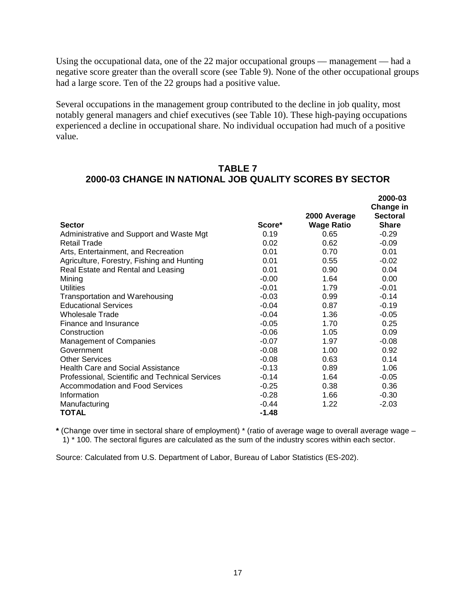Using the occupational data, one of the 22 major occupational groups — management — had a negative score greater than the overall score (see Table 9). None of the other occupational groups had a large score. Ten of the 22 groups had a positive value.

Several occupations in the management group contributed to the decline in job quality, most notably general managers and chief executives (see Table 10). These high-paying occupations experienced a decline in occupational share. No individual occupation had much of a positive value.

## **TABLE 7 2000-03 CHANGE IN NATIONAL JOB QUALITY SCORES BY SECTOR**

**2000-03** 

|                                                 |         |                   | 2000-03<br>Change in |
|-------------------------------------------------|---------|-------------------|----------------------|
|                                                 |         | 2000 Average      | <b>Sectoral</b>      |
| <b>Sector</b>                                   | Score*  | <b>Wage Ratio</b> | <b>Share</b>         |
| Administrative and Support and Waste Mgt        | 0.19    | 0.65              | $-0.29$              |
| <b>Retail Trade</b>                             | 0.02    | 0.62              | $-0.09$              |
| Arts, Entertainment, and Recreation             | 0.01    | 0.70              | 0.01                 |
| Agriculture, Forestry, Fishing and Hunting      | 0.01    | 0.55              | $-0.02$              |
| Real Estate and Rental and Leasing              | 0.01    | 0.90              | 0.04                 |
| Mining                                          | $-0.00$ | 1.64              | 0.00                 |
| <b>Utilities</b>                                | $-0.01$ | 1.79              | $-0.01$              |
| <b>Transportation and Warehousing</b>           | $-0.03$ | 0.99              | $-0.14$              |
| <b>Educational Services</b>                     | $-0.04$ | 0.87              | $-0.19$              |
| <b>Wholesale Trade</b>                          | $-0.04$ | 1.36              | $-0.05$              |
| Finance and Insurance                           | $-0.05$ | 1.70              | 0.25                 |
| Construction                                    | $-0.06$ | 1.05              | 0.09                 |
| Management of Companies                         | $-0.07$ | 1.97              | $-0.08$              |
| Government                                      | $-0.08$ | 1.00              | 0.92                 |
| <b>Other Services</b>                           | $-0.08$ | 0.63              | 0.14                 |
| <b>Health Care and Social Assistance</b>        | $-0.13$ | 0.89              | 1.06                 |
| Professional, Scientific and Technical Services | $-0.14$ | 1.64              | $-0.05$              |
| <b>Accommodation and Food Services</b>          | $-0.25$ | 0.38              | 0.36                 |
| Information                                     | $-0.28$ | 1.66              | $-0.30$              |
| Manufacturing                                   | $-0.44$ | 1.22              | $-2.03$              |
| <b>TOTAL</b>                                    | $-1.48$ |                   |                      |

**\*** (Change over time in sectoral share of employment) \* (ratio of average wage to overall average wage – 1) \* 100. The sectoral figures are calculated as the sum of the industry scores within each sector.

Source: Calculated from U.S. Department of Labor, Bureau of Labor Statistics (ES-202).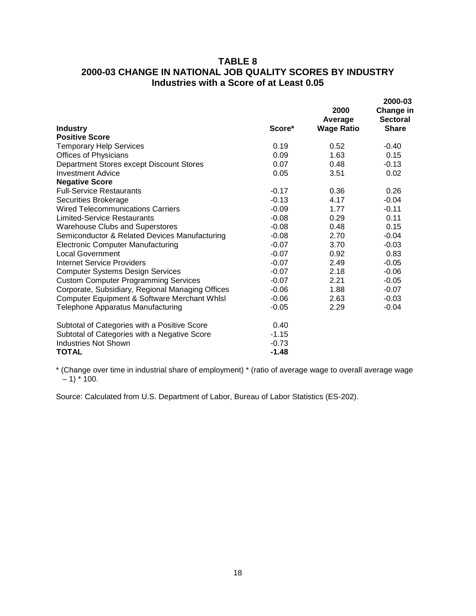# **TABLE 8 2000-03 CHANGE IN NATIONAL JOB QUALITY SCORES BY INDUSTRY Industries with a Score of at Least 0.05**

| <b>Industry</b>                                  | Score*  | 2000<br>Average<br><b>Wage Ratio</b> | 2000-03<br>Change in<br><b>Sectoral</b><br><b>Share</b> |
|--------------------------------------------------|---------|--------------------------------------|---------------------------------------------------------|
| <b>Positive Score</b>                            |         |                                      |                                                         |
| <b>Temporary Help Services</b>                   | 0.19    | 0.52                                 | $-0.40$                                                 |
| <b>Offices of Physicians</b>                     | 0.09    | 1.63                                 | 0.15                                                    |
| Department Stores except Discount Stores         | 0.07    | 0.48                                 | $-0.13$                                                 |
| <b>Investment Advice</b>                         | 0.05    | 3.51                                 | 0.02                                                    |
| <b>Negative Score</b>                            |         |                                      |                                                         |
| <b>Full-Service Restaurants</b>                  | $-0.17$ | 0.36                                 | 0.26                                                    |
| Securities Brokerage                             | $-0.13$ | 4.17                                 | $-0.04$                                                 |
| <b>Wired Telecommunications Carriers</b>         | $-0.09$ | 1.77                                 | $-0.11$                                                 |
| Limited-Service Restaurants                      | $-0.08$ | 0.29                                 | 0.11                                                    |
| <b>Warehouse Clubs and Superstores</b>           | $-0.08$ | 0.48                                 | 0.15                                                    |
| Semiconductor & Related Devices Manufacturing    | $-0.08$ | 2.70                                 | $-0.04$                                                 |
| <b>Electronic Computer Manufacturing</b>         | $-0.07$ | 3.70                                 | $-0.03$                                                 |
| <b>Local Government</b>                          | $-0.07$ | 0.92                                 | 0.83                                                    |
| Internet Service Providers                       | $-0.07$ | 2.49                                 | $-0.05$                                                 |
| <b>Computer Systems Design Services</b>          | $-0.07$ | 2.18                                 | $-0.06$                                                 |
| <b>Custom Computer Programming Services</b>      | $-0.07$ | 2.21                                 | $-0.05$                                                 |
| Corporate, Subsidiary, Regional Managing Offices | $-0.06$ | 1.88                                 | $-0.07$                                                 |
| Computer Equipment & Software Merchant Whlsl     | $-0.06$ | 2.63                                 | $-0.03$                                                 |
| Telephone Apparatus Manufacturing                | $-0.05$ | 2.29                                 | $-0.04$                                                 |
| Subtotal of Categories with a Positive Score     | 0.40    |                                      |                                                         |
| Subtotal of Categories with a Negative Score     | $-1.15$ |                                      |                                                         |
| <b>Industries Not Shown</b>                      | $-0.73$ |                                      |                                                         |
| TOTAL                                            | $-1.48$ |                                      |                                                         |

\* (Change over time in industrial share of employment) \* (ratio of average wage to overall average wage  $-$  1)  $*$  100.

Source: Calculated from U.S. Department of Labor, Bureau of Labor Statistics (ES-202).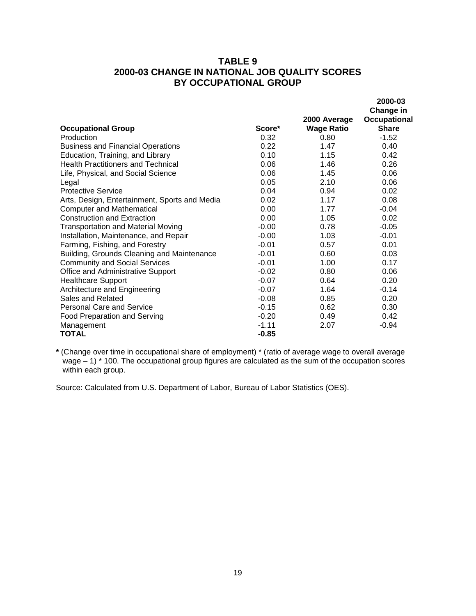# **TABLE 9 2000-03 CHANGE IN NATIONAL JOB QUALITY SCORES BY OCCUPATIONAL GROUP**

|                                               |         |                   | 2000-03<br>Change in |
|-----------------------------------------------|---------|-------------------|----------------------|
|                                               |         | 2000 Average      | <b>Occupational</b>  |
| <b>Occupational Group</b>                     | Score*  | <b>Wage Ratio</b> | <b>Share</b>         |
| Production                                    | 0.32    | 0.80              | $-1.52$              |
| <b>Business and Financial Operations</b>      | 0.22    | 1.47              | 0.40                 |
| Education, Training, and Library              | 0.10    | 1.15              | 0.42                 |
| <b>Health Practitioners and Technical</b>     | 0.06    | 1.46              | 0.26                 |
| Life, Physical, and Social Science            | 0.06    | 1.45              | 0.06                 |
| Legal                                         | 0.05    | 2.10              | 0.06                 |
| <b>Protective Service</b>                     | 0.04    | 0.94              | 0.02                 |
| Arts, Design, Entertainment, Sports and Media | 0.02    | 1.17              | 0.08                 |
| <b>Computer and Mathematical</b>              | 0.00    | 1.77              | $-0.04$              |
| <b>Construction and Extraction</b>            | 0.00    | 1.05              | 0.02                 |
| <b>Transportation and Material Moving</b>     | $-0.00$ | 0.78              | $-0.05$              |
| Installation, Maintenance, and Repair         | $-0.00$ | 1.03              | $-0.01$              |
| Farming, Fishing, and Forestry                | $-0.01$ | 0.57              | 0.01                 |
| Building, Grounds Cleaning and Maintenance    | $-0.01$ | 0.60              | 0.03                 |
| <b>Community and Social Services</b>          | $-0.01$ | 1.00              | 0.17                 |
| Office and Administrative Support             | $-0.02$ | 0.80              | 0.06                 |
| <b>Healthcare Support</b>                     | $-0.07$ | 0.64              | 0.20                 |
| Architecture and Engineering                  | $-0.07$ | 1.64              | $-0.14$              |
| Sales and Related                             | $-0.08$ | 0.85              | 0.20                 |
| <b>Personal Care and Service</b>              | $-0.15$ | 0.62              | 0.30                 |
| <b>Food Preparation and Serving</b>           | $-0.20$ | 0.49              | 0.42                 |
| Management                                    | $-1.11$ | 2.07              | $-0.94$              |
| TOTAL                                         | $-0.85$ |                   |                      |

**\*** (Change over time in occupational share of employment) \* (ratio of average wage to overall average wage – 1) \* 100. The occupational group figures are calculated as the sum of the occupation scores within each group.

Source: Calculated from U.S. Department of Labor, Bureau of Labor Statistics (OES).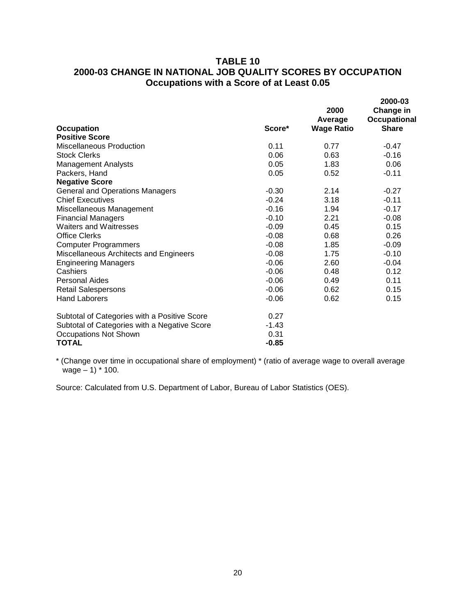# **TABLE 10 2000-03 CHANGE IN NATIONAL JOB QUALITY SCORES BY OCCUPATION Occupations with a Score of at Least 0.05**

|                                              |         | 2000<br>Average   | 2000-03<br>Change in<br><b>Occupational</b> |
|----------------------------------------------|---------|-------------------|---------------------------------------------|
| <b>Occupation</b>                            | Score*  | <b>Wage Ratio</b> | <b>Share</b>                                |
| <b>Positive Score</b>                        |         |                   |                                             |
| <b>Miscellaneous Production</b>              | 0.11    | 0.77              | $-0.47$                                     |
| <b>Stock Clerks</b>                          | 0.06    | 0.63              | $-0.16$                                     |
| <b>Management Analysts</b>                   | 0.05    | 1.83              | 0.06                                        |
| Packers, Hand                                | 0.05    | 0.52              | $-0.11$                                     |
| <b>Negative Score</b>                        |         |                   |                                             |
| <b>General and Operations Managers</b>       | $-0.30$ | 2.14              | $-0.27$                                     |
| <b>Chief Executives</b>                      | $-0.24$ | 3.18              | $-0.11$                                     |
| Miscellaneous Management                     | $-0.16$ | 1.94              | $-0.17$                                     |
| <b>Financial Managers</b>                    | $-0.10$ | 2.21              | $-0.08$                                     |
| <b>Waiters and Waitresses</b>                | $-0.09$ | 0.45              | 0.15                                        |
| <b>Office Clerks</b>                         | $-0.08$ | 0.68              | 0.26                                        |
| <b>Computer Programmers</b>                  | $-0.08$ | 1.85              | $-0.09$                                     |
| Miscellaneous Architects and Engineers       | $-0.08$ | 1.75              | $-0.10$                                     |
| <b>Engineering Managers</b>                  | $-0.06$ | 2.60              | $-0.04$                                     |
| Cashiers                                     | $-0.06$ | 0.48              | 0.12                                        |
| <b>Personal Aides</b>                        | $-0.06$ | 0.49              | 0.11                                        |
| <b>Retail Salespersons</b>                   | $-0.06$ | 0.62              | 0.15                                        |
| <b>Hand Laborers</b>                         | $-0.06$ | 0.62              | 0.15                                        |
| Subtotal of Categories with a Positive Score | 0.27    |                   |                                             |
| Subtotal of Categories with a Negative Score | $-1.43$ |                   |                                             |
| Occupations Not Shown                        | 0.31    |                   |                                             |
| <b>TOTAL</b>                                 | $-0.85$ |                   |                                             |

\* (Change over time in occupational share of employment) \* (ratio of average wage to overall average wage – 1) \* 100.

Source: Calculated from U.S. Department of Labor, Bureau of Labor Statistics (OES).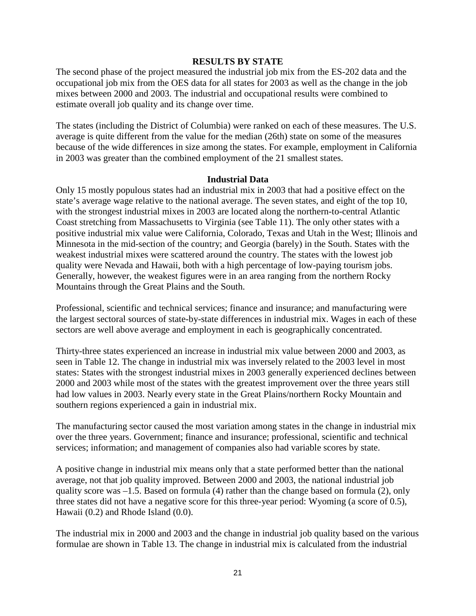#### **RESULTS BY STATE**

The second phase of the project measured the industrial job mix from the ES-202 data and the occupational job mix from the OES data for all states for 2003 as well as the change in the job mixes between 2000 and 2003. The industrial and occupational results were combined to estimate overall job quality and its change over time.

The states (including the District of Columbia) were ranked on each of these measures. The U.S. average is quite different from the value for the median (26th) state on some of the measures because of the wide differences in size among the states. For example, employment in California in 2003 was greater than the combined employment of the 21 smallest states.

#### **Industrial Data**

Only 15 mostly populous states had an industrial mix in 2003 that had a positive effect on the state's average wage relative to the national average. The seven states, and eight of the top 10, with the strongest industrial mixes in 2003 are located along the northern-to-central Atlantic Coast stretching from Massachusetts to Virginia (see Table 11). The only other states with a positive industrial mix value were California, Colorado, Texas and Utah in the West; Illinois and Minnesota in the mid-section of the country; and Georgia (barely) in the South. States with the weakest industrial mixes were scattered around the country. The states with the lowest job quality were Nevada and Hawaii, both with a high percentage of low-paying tourism jobs. Generally, however, the weakest figures were in an area ranging from the northern Rocky Mountains through the Great Plains and the South.

Professional, scientific and technical services; finance and insurance; and manufacturing were the largest sectoral sources of state-by-state differences in industrial mix. Wages in each of these sectors are well above average and employment in each is geographically concentrated.

Thirty-three states experienced an increase in industrial mix value between 2000 and 2003, as seen in Table 12. The change in industrial mix was inversely related to the 2003 level in most states: States with the strongest industrial mixes in 2003 generally experienced declines between 2000 and 2003 while most of the states with the greatest improvement over the three years still had low values in 2003. Nearly every state in the Great Plains/northern Rocky Mountain and southern regions experienced a gain in industrial mix.

The manufacturing sector caused the most variation among states in the change in industrial mix over the three years. Government; finance and insurance; professional, scientific and technical services; information; and management of companies also had variable scores by state.

A positive change in industrial mix means only that a state performed better than the national average, not that job quality improved. Between 2000 and 2003, the national industrial job quality score was –1.5. Based on formula (4) rather than the change based on formula (2), only three states did not have a negative score for this three-year period: Wyoming (a score of 0.5), Hawaii (0.2) and Rhode Island (0.0).

The industrial mix in 2000 and 2003 and the change in industrial job quality based on the various formulae are shown in Table 13. The change in industrial mix is calculated from the industrial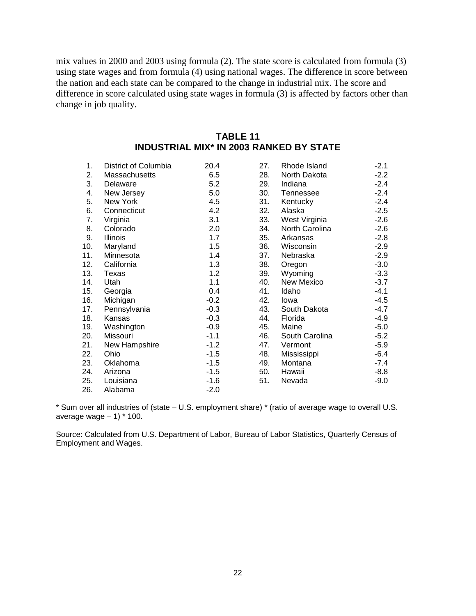mix values in 2000 and 2003 using formula (2). The state score is calculated from formula (3) using state wages and from formula (4) using national wages. The difference in score between the nation and each state can be compared to the change in industrial mix. The score and difference in score calculated using state wages in formula (3) is affected by factors other than change in job quality.

| 1.  | District of Columbia | 20.4   | 27. | Rhode Island   | $-2.1$ |
|-----|----------------------|--------|-----|----------------|--------|
| 2.  | Massachusetts        | 6.5    | 28. | North Dakota   | $-2.2$ |
| 3.  | Delaware             | 5.2    | 29. | Indiana        | $-2.4$ |
| 4.  | New Jersey           | 5.0    | 30. | Tennessee      | $-2.4$ |
| 5.  | New York             | 4.5    | 31. | Kentucky       | $-2.4$ |
| 6.  | Connecticut          | 4.2    | 32. | Alaska         | $-2.5$ |
| 7.  | Virginia             | 3.1    | 33. | West Virginia  | $-2.6$ |
| 8.  | Colorado             | 2.0    | 34. | North Carolina | $-2.6$ |
| 9.  | Illinois             | 1.7    | 35. | Arkansas       | $-2.8$ |
| 10. | Maryland             | 1.5    | 36. | Wisconsin      | $-2.9$ |
| 11. | Minnesota            | 1.4    | 37. | Nebraska       | $-2.9$ |
| 12. | California           | 1.3    | 38. | Oregon         | $-3.0$ |
| 13. | Texas                | 1.2    | 39. | Wyoming        | $-3.3$ |
| 14. | Utah                 | 1.1    | 40. | New Mexico     | $-3.7$ |
| 15. | Georgia              | 0.4    | 41. | Idaho          | $-4.1$ |
| 16. | Michigan             | $-0.2$ | 42. | lowa           | $-4.5$ |
| 17. | Pennsylvania         | $-0.3$ | 43. | South Dakota   | $-4.7$ |
| 18. | Kansas               | $-0.3$ | 44. | Florida        | $-4.9$ |
| 19. | Washington           | $-0.9$ | 45. | Maine          | $-5.0$ |
| 20. | Missouri             | $-1.1$ | 46. | South Carolina | $-5.2$ |
| 21. | New Hampshire        | $-1.2$ | 47. | Vermont        | $-5.9$ |
| 22. | Ohio                 | $-1.5$ | 48. | Mississippi    | $-6.4$ |
| 23. | Oklahoma             | $-1.5$ | 49. | Montana        | $-7.4$ |
| 24. | Arizona              | $-1.5$ | 50. | Hawaii         | $-8.8$ |
| 25. | Louisiana            | $-1.6$ | 51. | Nevada         | $-9.0$ |
| 26. | Alabama              | $-2.0$ |     |                |        |

| TABLE 11                                       |
|------------------------------------------------|
| <b>INDUSTRIAL MIX* IN 2003 RANKED BY STATE</b> |

\* Sum over all industries of (state – U.S. employment share) \* (ratio of average wage to overall U.S. average wage  $-1$ )  $*$  100.

Source: Calculated from U.S. Department of Labor, Bureau of Labor Statistics, Quarterly Census of Employment and Wages.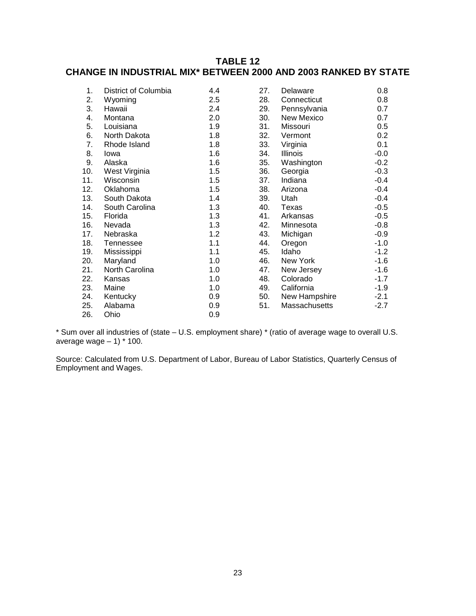# **TABLE 12 CHANGE IN INDUSTRIAL MIX\* BETWEEN 2000 AND 2003 RANKED BY STATE**

| 1.  | District of Columbia | 4.4 | 27. | Delaware      | 0.8    |
|-----|----------------------|-----|-----|---------------|--------|
| 2.  | Wyoming              | 2.5 | 28. | Connecticut   | 0.8    |
| 3.  | Hawaii               | 2.4 | 29. | Pennsylvania  | 0.7    |
| 4.  | Montana              | 2.0 | 30. | New Mexico    | 0.7    |
| 5.  | Louisiana            | 1.9 | 31. | Missouri      | 0.5    |
| 6.  | North Dakota         | 1.8 | 32. | Vermont       | 0.2    |
| 7.  | Rhode Island         | 1.8 | 33. | Virginia      | 0.1    |
| 8.  | lowa                 | 1.6 | 34. | Illinois      | $-0.0$ |
| 9.  | Alaska               | 1.6 | 35. | Washington    | $-0.2$ |
| 10. | West Virginia        | 1.5 | 36. | Georgia       | $-0.3$ |
| 11. | Wisconsin            | 1.5 | 37. | Indiana       | $-0.4$ |
| 12. | Oklahoma             | 1.5 | 38. | Arizona       | $-0.4$ |
| 13. | South Dakota         | 1.4 | 39. | Utah          | $-0.4$ |
| 14. | South Carolina       | 1.3 | 40. | Texas         | $-0.5$ |
| 15. | Florida              | 1.3 | 41. | Arkansas      | $-0.5$ |
| 16. | Nevada               | 1.3 | 42. | Minnesota     | $-0.8$ |
| 17. | Nebraska             | 1.2 | 43. | Michigan      | $-0.9$ |
| 18. | Tennessee            | 1.1 | 44. | Oregon        | $-1.0$ |
| 19. | Mississippi          | 1.1 | 45. | Idaho         | $-1.2$ |
| 20. | Maryland             | 1.0 | 46. | New York      | $-1.6$ |
| 21. | North Carolina       | 1.0 | 47. | New Jersey    | $-1.6$ |
| 22. | Kansas               | 1.0 | 48. | Colorado      | $-1.7$ |
| 23. | Maine                | 1.0 | 49. | California    | $-1.9$ |
| 24. | Kentucky             | 0.9 | 50. | New Hampshire | $-2.1$ |
| 25. | Alabama              | 0.9 | 51. | Massachusetts | $-2.7$ |
| 26. | Ohio                 | 0.9 |     |               |        |

\* Sum over all industries of (state – U.S. employment share) \* (ratio of average wage to overall U.S. average wage  $-1$ )  $*$  100.

Source: Calculated from U.S. Department of Labor, Bureau of Labor Statistics, Quarterly Census of Employment and Wages.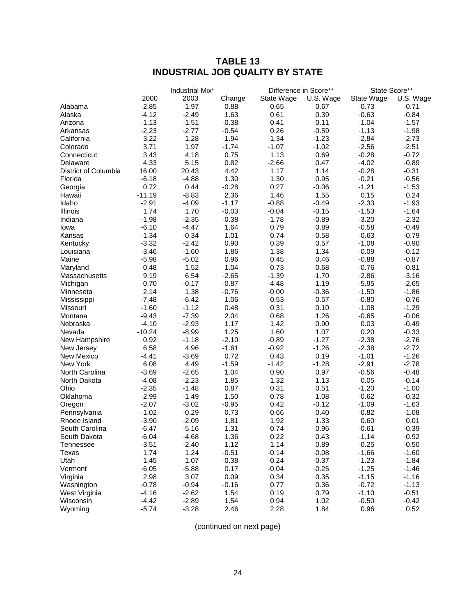# **TABLE 13 INDUSTRIAL JOB QUALITY BY STATE**

|                        |                    | Industrial Mix* |         | Difference in Score** |           | State Score**   |           |
|------------------------|--------------------|-----------------|---------|-----------------------|-----------|-----------------|-----------|
|                        | 2000               | 2003            | Change  | State Wage            | U.S. Wage | State Wage      | U.S. Wage |
| Alabama                | $-2.85$            | $-1.97$         | 0.88    | 0.65                  | 0.67      | $-0.73$         | $-0.71$   |
| Alaska                 | $-4.12$            | $-2.49$         | 1.63    | 0.61                  | 0.39      | $-0.63$         | $-0.84$   |
| Arizona                | $-1.13$            | $-1.51$         | $-0.38$ | 0.41                  | $-0.11$   | $-1.04$         | $-1.57$   |
| Arkansas               | $-2.23$            | $-2.77$         | $-0.54$ | 0.26                  | $-0.59$   | $-1.13$         | $-1.98$   |
| California             | 3.22               | 1.28            | $-1.94$ | $-1.34$               | $-1.23$   | $-2.84$         | $-2.73$   |
| Colorado               | 3.71               | 1.97            | $-1.74$ | $-1.07$               | $-1.02$   | $-2.56$         | $-2.51$   |
| Connecticut            | 3.43               | 4.18            | 0.75    | 1.13                  | 0.69      | $-0.28$         | $-0.72$   |
| Delaware               | 4.33               | 5.15            | 0.82    | $-2.66$               | 0.47      | $-4.02$         | $-0.89$   |
| District of Columbia   | 16.00              | 20.43           | 4.42    | 1.17                  | 1.14      | $-0.28$         | $-0.31$   |
| Florida                | $-6.18$            | $-4.88$         | 1.30    | 1.30                  | 0.95      | $-0.21$         | $-0.56$   |
| Georgia                | 0.72               | 0.44            | $-0.28$ | 0.27                  | $-0.06$   | $-1.21$         | $-1.53$   |
| Hawaii                 | $-11.19$           | $-8.83$         | 2.36    | 1.46                  | 1.55      | 0.15            | 0.24      |
| Idaho                  | $-2.91$            | $-4.09$         | $-1.17$ | $-0.88$               | $-0.49$   | $-2.33$         | $-1.93$   |
| Illinois               | 1.74               | 1.70            | $-0.03$ | $-0.04$               | $-0.15$   | $-1.53$         | $-1.64$   |
| Indiana                | $-1.98$            | $-2.35$         | $-0.38$ | $-1.78$               | $-0.89$   | $-3.20$         | $-2.32$   |
| Iowa                   | $-6.10$            | $-4.47$         | 1.64    | 0.79                  | 0.89      | $-0.58$         | $-0.49$   |
| Kansas                 | $-1.34$            | $-0.34$         | 1.01    | 0.74                  | 0.58      | $-0.63$         | $-0.79$   |
| Kentucky               | $-3.32$            | $-2.42$         | 0.90    | 0.39                  | 0.57      | $-1.08$         | $-0.90$   |
| Louisiana              | $-3.46$            | $-1.60$         | 1.86    | 1.38                  | 1.34      | $-0.09$         | $-0.12$   |
| Maine                  | $-5.98$            | $-5.02$         | 0.96    | 0.45                  | 0.46      | $-0.88$         | $-0.87$   |
| Maryland               | 0.48               | 1.52            | 1.04    | 0.73                  | 0.68      | $-0.76$         | $-0.81$   |
| Massachusetts          | 9.19               | 6.54            | $-2.65$ | $-1.39$               | $-1.70$   | $-2.86$         | $-3.16$   |
| Michigan               | 0.70               | $-0.17$         | $-0.87$ | $-4.48$               | $-1.19$   | $-5.95$         | $-2.65$   |
| Minnesota              | 2.14               | 1.38            | $-0.76$ | $-0.00$               | $-0.36$   | $-1.50$         | $-1.86$   |
| Mississippi            | $-7.48$            | $-6.42$         | 1.06    | 0.53                  | 0.57      | $-0.80$         | $-0.76$   |
| Missouri               | $-1.60$            | $-1.12$         | 0.48    | 0.31                  | 0.10      | $-1.08$         | $-1.29$   |
| Montana                | $-9.43$            | $-7.39$         | 2.04    | 0.68                  | 1.26      | $-0.65$         | $-0.06$   |
| Nebraska               | $-4.10$            | $-2.93$         | 1.17    | 1.42                  | 0.90      | 0.03            | $-0.49$   |
| Nevada                 | $-10.24$           | $-8.99$         | 1.25    | 1.60                  | 1.07      | 0.20            | $-0.33$   |
| New Hampshire          | 0.92               | $-1.18$         | $-2.10$ | $-0.89$               | $-1.27$   | $-2.38$         | $-2.76$   |
| New Jersey             | 6.58               | 4.96            | $-1.61$ | $-0.92$               | $-1.26$   | $-2.38$         | $-2.72$   |
| New Mexico             | $-4.41$            | $-3.69$         | 0.72    | 0.43                  | 0.19      | $-1.01$         | $-1.26$   |
| New York               | 6.08               | 4.49            | $-1.59$ | $-1.42$               | $-1.28$   | $-2.91$         | $-2.78$   |
| North Carolina         | $-3.69$            | $-2.65$         | 1.04    | 0.90                  | 0.97      | $-0.56$         | $-0.48$   |
|                        |                    | $-2.23$         | 1.85    | 1.32                  | 1.13      |                 | $-0.14$   |
| North Dakota<br>Ohio   | $-4.08$<br>$-2.35$ | $-1.48$         | 0.87    | 0.31                  | 0.51      | 0.05<br>$-1.20$ | $-1.00$   |
| Oklahoma               | $-2.99$            | $-1.49$         | 1.50    | 0.78                  | 1.08      | $-0.62$         | $-0.32$   |
|                        | $-2.07$            | $-3.02$         | $-0.95$ | 0.42                  | $-0.12$   | $-1.09$         | $-1.63$   |
| Oregon<br>Pennsylvania | $-1.02$            | $-0.29$         | 0.73    | 0.66                  | 0.40      | $-0.82$         | $-1.08$   |
| Rhode Island           | $-3.90$            | $-2.09$         | 1.81    | 1.92                  | 1.33      | 0.60            |           |
|                        |                    |                 |         |                       |           |                 | 0.01      |
| South Carolina         | $-6.47$            | $-5.16$         | 1.31    | 0.74                  | 0.96      | $-0.61$         | $-0.39$   |
| South Dakota           | $-6.04$            | $-4.68$         | 1.36    | 0.22                  | 0.43      | $-1.14$         | $-0.92$   |
| <b>Tennessee</b>       | $-3.51$            | $-2.40$         | 1.12    | 1.14                  | 0.89      | $-0.25$         | $-0.50$   |
| Texas                  | 1.74               | 1.24            | $-0.51$ | $-0.14$               | $-0.08$   | $-1.66$         | $-1.60$   |
| Utah                   | 1.45               | 1.07            | $-0.38$ | 0.24                  | $-0.37$   | $-1.23$         | $-1.84$   |
| Vermont                | $-6.05$            | $-5.88$         | 0.17    | $-0.04$               | $-0.25$   | $-1.25$         | $-1.46$   |
| Virginia               | 2.98               | 3.07            | 0.09    | 0.34                  | 0.35      | $-1.15$         | $-1.16$   |
| Washington             | $-0.78$            | $-0.94$         | $-0.16$ | 0.77                  | 0.36      | $-0.72$         | $-1.13$   |
| West Virginia          | $-4.16$            | $-2.62$         | 1.54    | 0.19                  | 0.79      | $-1.10$         | $-0.51$   |
| Wisconsin              | $-4.42$            | $-2.89$         | 1.54    | 0.94                  | 1.02      | $-0.50$         | $-0.42$   |
| Wyoming                | $-5.74$            | $-3.28$         | 2.46    | 2.28                  | 1.84      | 0.96            | 0.52      |

(continued on next page)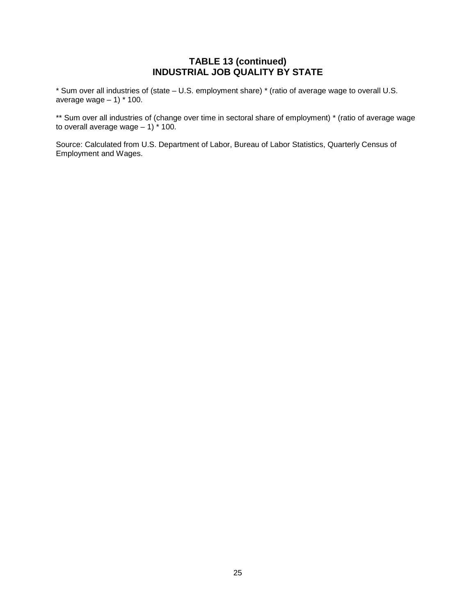# **TABLE 13 (continued) INDUSTRIAL JOB QUALITY BY STATE**

\* Sum over all industries of (state – U.S. employment share) \* (ratio of average wage to overall U.S. average wage  $-1$ )  $*$  100.

\*\* Sum over all industries of (change over time in sectoral share of employment) \* (ratio of average wage to overall average wage  $-1$ )  $*$  100.

Source: Calculated from U.S. Department of Labor, Bureau of Labor Statistics, Quarterly Census of Employment and Wages.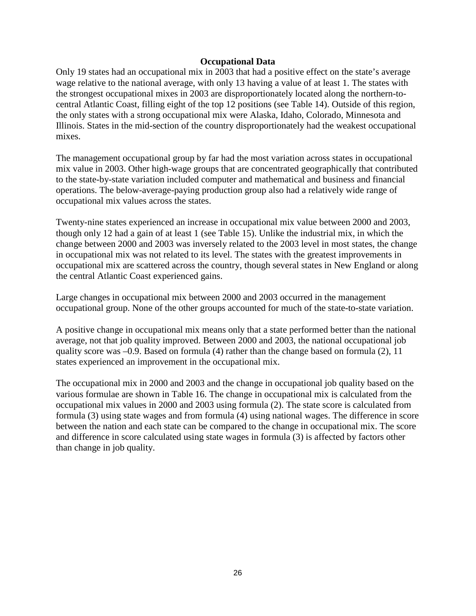#### **Occupational Data**

Only 19 states had an occupational mix in 2003 that had a positive effect on the state's average wage relative to the national average, with only 13 having a value of at least 1. The states with the strongest occupational mixes in 2003 are disproportionately located along the northern-tocentral Atlantic Coast, filling eight of the top 12 positions (see Table 14). Outside of this region, the only states with a strong occupational mix were Alaska, Idaho, Colorado, Minnesota and Illinois. States in the mid-section of the country disproportionately had the weakest occupational mixes.

The management occupational group by far had the most variation across states in occupational mix value in 2003. Other high-wage groups that are concentrated geographically that contributed to the state-by-state variation included computer and mathematical and business and financial operations. The below-average-paying production group also had a relatively wide range of occupational mix values across the states.

Twenty-nine states experienced an increase in occupational mix value between 2000 and 2003, though only 12 had a gain of at least 1 (see Table 15). Unlike the industrial mix, in which the change between 2000 and 2003 was inversely related to the 2003 level in most states, the change in occupational mix was not related to its level. The states with the greatest improvements in occupational mix are scattered across the country, though several states in New England or along the central Atlantic Coast experienced gains.

Large changes in occupational mix between 2000 and 2003 occurred in the management occupational group. None of the other groups accounted for much of the state-to-state variation.

A positive change in occupational mix means only that a state performed better than the national average, not that job quality improved. Between 2000 and 2003, the national occupational job quality score was –0.9. Based on formula (4) rather than the change based on formula (2), 11 states experienced an improvement in the occupational mix.

The occupational mix in 2000 and 2003 and the change in occupational job quality based on the various formulae are shown in Table 16. The change in occupational mix is calculated from the occupational mix values in 2000 and 2003 using formula (2). The state score is calculated from formula (3) using state wages and from formula (4) using national wages. The difference in score between the nation and each state can be compared to the change in occupational mix. The score and difference in score calculated using state wages in formula (3) is affected by factors other than change in job quality.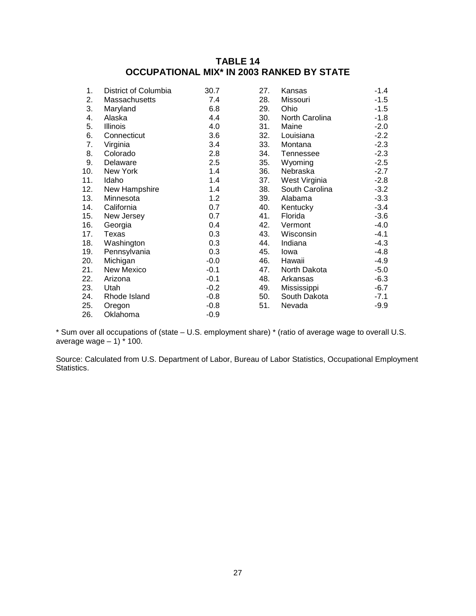# **TABLE 14 OCCUPATIONAL MIX\* IN 2003 RANKED BY STATE**

| 1.  | District of Columbia | 30.7   | 27. | Kansas         | $-1.4$ |
|-----|----------------------|--------|-----|----------------|--------|
| 2.  | Massachusetts        | 7.4    | 28. | Missouri       | $-1.5$ |
| 3.  | Maryland             | 6.8    | 29. | Ohio           | $-1.5$ |
| 4.  | Alaska               | 4.4    | 30. | North Carolina | $-1.8$ |
| 5.  | <b>Illinois</b>      | 4.0    | 31. | Maine          | $-2.0$ |
| 6.  | Connecticut          | 3.6    | 32. | Louisiana      | $-2.2$ |
| 7.  | Virginia             | 3.4    | 33. | Montana        | $-2.3$ |
| 8.  | Colorado             | 2.8    | 34. | Tennessee      | $-2.3$ |
| 9.  | Delaware             | 2.5    | 35. | Wyoming        | $-2.5$ |
| 10. | New York             | 1.4    | 36. | Nebraska       | $-2.7$ |
| 11. | Idaho                | 1.4    | 37. | West Virginia  | $-2.8$ |
| 12. | New Hampshire        | 1.4    | 38. | South Carolina | $-3.2$ |
| 13. | Minnesota            | 1.2    | 39. | Alabama        | $-3.3$ |
| 14. | California           | 0.7    | 40. | Kentucky       | $-3.4$ |
| 15. | New Jersey           | 0.7    | 41. | Florida        | $-3.6$ |
| 16. | Georgia              | 0.4    | 42. | Vermont        | $-4.0$ |
| 17. | Texas                | 0.3    | 43. | Wisconsin      | $-4.1$ |
| 18. | Washington           | 0.3    | 44. | Indiana        | $-4.3$ |
| 19. | Pennsylvania         | 0.3    | 45. | lowa           | $-4.8$ |
| 20. | Michigan             | $-0.0$ | 46. | Hawaii         | $-4.9$ |
| 21. | New Mexico           | $-0.1$ | 47. | North Dakota   | $-5.0$ |
| 22. | Arizona              | $-0.1$ | 48. | Arkansas       | $-6.3$ |
| 23. | Utah                 | $-0.2$ | 49. | Mississippi    | $-6.7$ |
| 24. | Rhode Island         | $-0.8$ | 50. | South Dakota   | $-7.1$ |
| 25. | Oregon               | $-0.8$ | 51. | Nevada         | $-9.9$ |
| 26. | Oklahoma             | $-0.9$ |     |                |        |

\* Sum over all occupations of (state – U.S. employment share) \* (ratio of average wage to overall U.S. average wage – 1) \* 100.

Source: Calculated from U.S. Department of Labor, Bureau of Labor Statistics, Occupational Employment Statistics.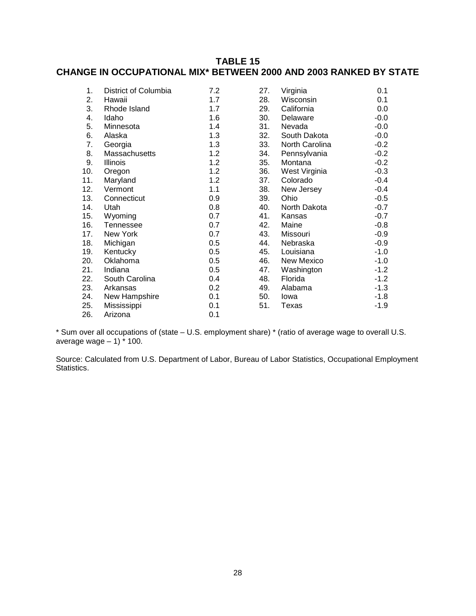# **TABLE 15 CHANGE IN OCCUPATIONAL MIX\* BETWEEN 2000 AND 2003 RANKED BY STATE**

| 1.  | District of Columbia | 7.2 | 27. | Virginia       | 0.1    |
|-----|----------------------|-----|-----|----------------|--------|
| 2.  | Hawaii               | 1.7 | 28. | Wisconsin      | 0.1    |
| 3.  | Rhode Island         | 1.7 | 29. | California     | 0.0    |
| 4.  | Idaho                | 1.6 | 30. | Delaware       | $-0.0$ |
| 5.  | Minnesota            | 1.4 | 31. | Nevada         | $-0.0$ |
| 6.  | Alaska               | 1.3 | 32. | South Dakota   | $-0.0$ |
| 7.  | Georgia              | 1.3 | 33. | North Carolina | $-0.2$ |
| 8.  | Massachusetts        | 1.2 | 34. | Pennsylvania   | $-0.2$ |
| 9.  | Illinois             | 1.2 | 35. | Montana        | $-0.2$ |
| 10. | Oregon               | 1.2 | 36. | West Virginia  | $-0.3$ |
| 11. | Maryland             | 1.2 | 37. | Colorado       | $-0.4$ |
| 12. | Vermont              | 1.1 | 38. | New Jersey     | $-0.4$ |
| 13. | Connecticut          | 0.9 | 39. | Ohio           | $-0.5$ |
| 14. | Utah                 | 0.8 | 40. | North Dakota   | $-0.7$ |
| 15. | Wyoming              | 0.7 | 41. | Kansas         | $-0.7$ |
| 16. | Tennessee            | 0.7 | 42. | Maine          | $-0.8$ |
| 17. | New York             | 0.7 | 43. | Missouri       | $-0.9$ |
| 18. | Michigan             | 0.5 | 44. | Nebraska       | $-0.9$ |
| 19. | Kentucky             | 0.5 | 45. | Louisiana      | $-1.0$ |
| 20. | Oklahoma             | 0.5 | 46. | New Mexico     | $-1.0$ |
| 21. | Indiana              | 0.5 | 47. | Washington     | $-1.2$ |
| 22. | South Carolina       | 0.4 | 48. | Florida        | $-1.2$ |
| 23. | Arkansas             | 0.2 | 49. | Alabama        | $-1.3$ |
| 24. | New Hampshire        | 0.1 | 50. | lowa           | $-1.8$ |
| 25. | Mississippi          | 0.1 | 51. | Texas          | $-1.9$ |
| 26. | Arizona              | 0.1 |     |                |        |

\* Sum over all occupations of (state – U.S. employment share) \* (ratio of average wage to overall U.S. average wage  $-1$ )  $*$  100.

Source: Calculated from U.S. Department of Labor, Bureau of Labor Statistics, Occupational Employment Statistics.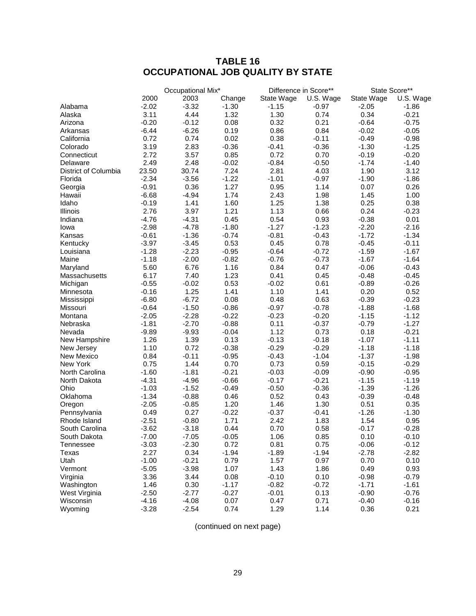# **TABLE 16 OCCUPATIONAL JOB QUALITY BY STATE**

|                      |         | Occupational Mix* |         | Difference in Score** |           |            | State Score** |
|----------------------|---------|-------------------|---------|-----------------------|-----------|------------|---------------|
|                      | 2000    | 2003              | Change  | State Wage            | U.S. Wage | State Wage | U.S. Wage     |
| Alabama              | $-2.02$ | $-3.32$           | $-1.30$ | $-1.15$               | $-0.97$   | $-2.05$    | $-1.86$       |
| Alaska               | 3.11    | 4.44              | 1.32    | 1.30                  | 0.74      | 0.34       | $-0.21$       |
| Arizona              | $-0.20$ | $-0.12$           | 0.08    | 0.32                  | 0.21      | $-0.64$    | $-0.75$       |
| Arkansas             | $-6.44$ | $-6.26$           | 0.19    | 0.86                  | 0.84      | $-0.02$    | $-0.05$       |
| California           | 0.72    | 0.74              | 0.02    | 0.38                  | $-0.11$   | $-0.49$    | $-0.98$       |
| Colorado             | 3.19    | 2.83              | $-0.36$ | $-0.41$               | $-0.36$   | $-1.30$    | $-1.25$       |
| Connecticut          | 2.72    | 3.57              | 0.85    | 0.72                  | 0.70      | $-0.19$    | $-0.20$       |
| Delaware             | 2.49    | 2.48              | $-0.02$ | $-0.84$               | $-0.50$   | $-1.74$    | $-1.40$       |
| District of Columbia | 23.50   | 30.74             | 7.24    | 2.81                  | 4.03      | 1.90       | 3.12          |
| Florida              | $-2.34$ | $-3.56$           | $-1.22$ | $-1.01$               | $-0.97$   | $-1.90$    | $-1.86$       |
| Georgia              | $-0.91$ | 0.36              | 1.27    | 0.95                  | 1.14      | 0.07       | 0.26          |
| Hawaii               | $-6.68$ | $-4.94$           | 1.74    | 2.43                  | 1.98      | 1.45       | 1.00          |
| Idaho                | $-0.19$ | 1.41              | 1.60    | 1.25                  | 1.38      | 0.25       | 0.38          |
| Illinois             | 2.76    | 3.97              | 1.21    | 1.13                  | 0.66      | 0.24       | $-0.23$       |
| Indiana              | $-4.76$ | $-4.31$           | 0.45    | 0.54                  | 0.93      | $-0.38$    | 0.01          |
| lowa                 | $-2.98$ | $-4.78$           | $-1.80$ | $-1.27$               | $-1.23$   | $-2.20$    | $-2.16$       |
| Kansas               | $-0.61$ | $-1.36$           | $-0.74$ | $-0.81$               | $-0.43$   | $-1.72$    | $-1.34$       |
| Kentucky             | $-3.97$ | $-3.45$           | 0.53    | 0.45                  | 0.78      | $-0.45$    | $-0.11$       |
| Louisiana            | $-1.28$ | $-2.23$           | $-0.95$ | $-0.64$               | $-0.72$   | $-1.59$    | $-1.67$       |
| Maine                | $-1.18$ | $-2.00$           | $-0.82$ | $-0.76$               | $-0.73$   | $-1.67$    | $-1.64$       |
| Maryland             | 5.60    | 6.76              | 1.16    | 0.84                  | 0.47      | $-0.06$    | $-0.43$       |
| Massachusetts        | 6.17    | 7.40              | 1.23    | 0.41                  | 0.45      | $-0.48$    | $-0.45$       |
| Michigan             | $-0.55$ | $-0.02$           | 0.53    | $-0.02$               | 0.61      | $-0.89$    | $-0.26$       |
| Minnesota            | $-0.16$ | 1.25              | 1.41    | 1.10                  | 1.41      | 0.20       | 0.52          |
| Mississippi          | $-6.80$ | $-6.72$           | 0.08    | 0.48                  | 0.63      | $-0.39$    | $-0.23$       |
| Missouri             | $-0.64$ | $-1.50$           | $-0.86$ | $-0.97$               | $-0.78$   | $-1.88$    | $-1.68$       |
| Montana              | $-2.05$ | $-2.28$           | $-0.22$ | $-0.23$               | $-0.20$   | $-1.15$    | $-1.12$       |
| Nebraska             | $-1.81$ | $-2.70$           | $-0.88$ | 0.11                  | $-0.37$   | $-0.79$    | $-1.27$       |
| Nevada               | $-9.89$ | $-9.93$           | $-0.04$ | 1.12                  | 0.73      | 0.18       | $-0.21$       |
| New Hampshire        | 1.26    | 1.39              | 0.13    | $-0.13$               | $-0.18$   | $-1.07$    | $-1.11$       |
| New Jersey           | 1.10    | 0.72              | $-0.38$ | $-0.29$               | $-0.29$   | $-1.18$    | $-1.18$       |
| New Mexico           | 0.84    | $-0.11$           | $-0.95$ | $-0.43$               | $-1.04$   | $-1.37$    | $-1.98$       |
| New York             | 0.75    | 1.44              | 0.70    | 0.73                  | 0.59      | $-0.15$    | $-0.29$       |
| North Carolina       | $-1.60$ | $-1.81$           | $-0.21$ | $-0.03$               | $-0.09$   | $-0.90$    | $-0.95$       |
| North Dakota         | $-4.31$ | $-4.96$           | $-0.66$ | $-0.17$               | $-0.21$   | $-1.15$    | $-1.19$       |
| Ohio                 | $-1.03$ | $-1.52$           | $-0.49$ | $-0.50$               | $-0.36$   | $-1.39$    | $-1.26$       |
| Oklahoma             | $-1.34$ | $-0.88$           | 0.46    | 0.52                  | 0.43      | $-0.39$    | $-0.48$       |
| Oregon               | $-2.05$ | $-0.85$           | 1.20    | 1.46                  | 1.30      | 0.51       | 0.35          |
| Pennsylvania         | 0.49    | 0.27              | $-0.22$ | $-0.37$               | $-0.41$   | $-1.26$    | $-1.30$       |
| Rhode Island         | $-2.51$ | $-0.80$           | 1.71    | 2.42                  | 1.83      | 1.54       | 0.95          |
| South Carolina       | $-3.62$ | $-3.18$           | 0.44    | 0.70                  | 0.58      | $-0.17$    | $-0.28$       |
| South Dakota         | $-7.00$ | $-7.05$           | $-0.05$ | 1.06                  | 0.85      | 0.10       | $-0.10$       |
| Tennessee            | $-3.03$ | $-2.30$           | 0.72    | 0.81                  | 0.75      | $-0.06$    | $-0.12$       |
| Texas                | 2.27    | 0.34              | $-1.94$ | $-1.89$               | $-1.94$   | $-2.78$    | $-2.82$       |
| Utah                 | $-1.00$ | $-0.21$           | 0.79    | 1.57                  | 0.97      | 0.70       | 0.10          |
| Vermont              | $-5.05$ | $-3.98$           | 1.07    | 1.43                  | 1.86      | 0.49       | 0.93          |
| Virginia             | 3.36    | 3.44              | 0.08    | $-0.10$               | 0.10      | $-0.98$    | $-0.79$       |
| Washington           | 1.46    | 0.30              | $-1.17$ | $-0.82$               | $-0.72$   | $-1.71$    | $-1.61$       |
| West Virginia        | $-2.50$ | $-2.77$           | $-0.27$ | $-0.01$               | 0.13      | $-0.90$    | $-0.76$       |
| Wisconsin            | $-4.16$ | $-4.08$           | 0.07    | 0.47                  | 0.71      | $-0.40$    | $-0.16$       |
| Wyoming              | $-3.28$ | $-2.54$           | 0.74    | 1.29                  | 1.14      | 0.36       | 0.21          |

(continued on next page)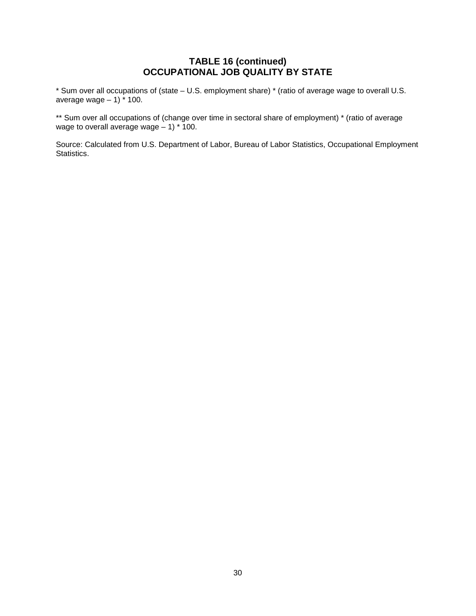# **TABLE 16 (continued) OCCUPATIONAL JOB QUALITY BY STATE**

\* Sum over all occupations of (state – U.S. employment share) \* (ratio of average wage to overall U.S. average wage  $-1$ )  $\frac{1}{2}$  100.

\*\* Sum over all occupations of (change over time in sectoral share of employment) \* (ratio of average wage to overall average wage  $-1$ )  $*$  100.

Source: Calculated from U.S. Department of Labor, Bureau of Labor Statistics, Occupational Employment Statistics.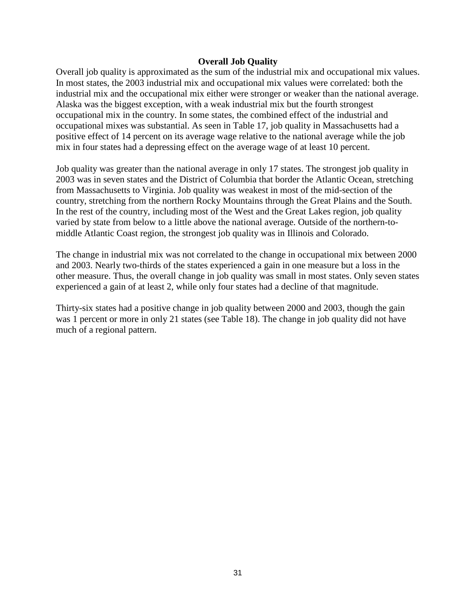#### **Overall Job Quality**

Overall job quality is approximated as the sum of the industrial mix and occupational mix values. In most states, the 2003 industrial mix and occupational mix values were correlated: both the industrial mix and the occupational mix either were stronger or weaker than the national average. Alaska was the biggest exception, with a weak industrial mix but the fourth strongest occupational mix in the country. In some states, the combined effect of the industrial and occupational mixes was substantial. As seen in Table 17, job quality in Massachusetts had a positive effect of 14 percent on its average wage relative to the national average while the job mix in four states had a depressing effect on the average wage of at least 10 percent.

Job quality was greater than the national average in only 17 states. The strongest job quality in 2003 was in seven states and the District of Columbia that border the Atlantic Ocean, stretching from Massachusetts to Virginia. Job quality was weakest in most of the mid-section of the country, stretching from the northern Rocky Mountains through the Great Plains and the South. In the rest of the country, including most of the West and the Great Lakes region, job quality varied by state from below to a little above the national average. Outside of the northern-tomiddle Atlantic Coast region, the strongest job quality was in Illinois and Colorado.

The change in industrial mix was not correlated to the change in occupational mix between 2000 and 2003. Nearly two-thirds of the states experienced a gain in one measure but a loss in the other measure. Thus, the overall change in job quality was small in most states. Only seven states experienced a gain of at least 2, while only four states had a decline of that magnitude.

Thirty-six states had a positive change in job quality between 2000 and 2003, though the gain was 1 percent or more in only 21 states (see Table 18). The change in job quality did not have much of a regional pattern.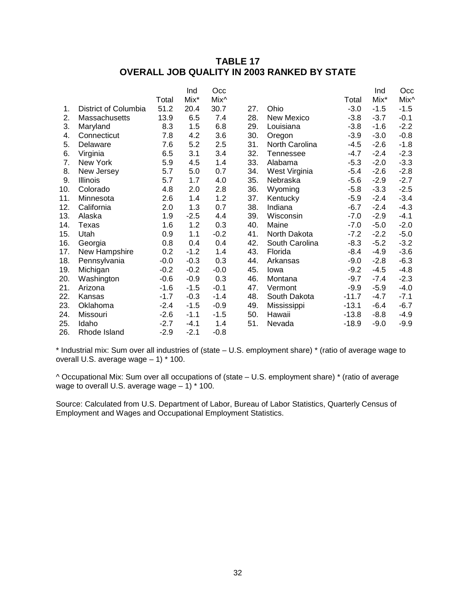# **TABLE 17 OVERALL JOB QUALITY IN 2003 RANKED BY STATE**

|     |                      |        | Ind    | Occ    |     |                |         | Ind    | Occ    |
|-----|----------------------|--------|--------|--------|-----|----------------|---------|--------|--------|
|     |                      | Total  | Mix*   | Mix^   |     |                | Total   | Mix*   | Mix^   |
| 1.  | District of Columbia | 51.2   | 20.4   | 30.7   | 27. | Ohio           | $-3.0$  | $-1.5$ | $-1.5$ |
| 2.  | Massachusetts        | 13.9   | 6.5    | 7.4    | 28. | New Mexico     | $-3.8$  | $-3.7$ | $-0.1$ |
| 3.  | Maryland             | 8.3    | 1.5    | 6.8    | 29. | Louisiana      | $-3.8$  | $-1.6$ | $-2.2$ |
| 4.  | Connecticut          | 7.8    | 4.2    | 3.6    | 30. | Oregon         | $-3.9$  | $-3.0$ | $-0.8$ |
| 5.  | Delaware             | 7.6    | 5.2    | 2.5    | 31. | North Carolina | $-4.5$  | $-2.6$ | $-1.8$ |
| 6.  | Virginia             | 6.5    | 3.1    | 3.4    | 32. | Tennessee      | $-4.7$  | $-2.4$ | $-2.3$ |
| 7.  | New York             | 5.9    | 4.5    | 1.4    | 33. | Alabama        | $-5.3$  | $-2.0$ | $-3.3$ |
| 8.  | New Jersey           | 5.7    | 5.0    | 0.7    | 34. | West Virginia  | $-5.4$  | $-2.6$ | $-2.8$ |
| 9.  | <b>Illinois</b>      | 5.7    | 1.7    | 4.0    | 35. | Nebraska       | $-5.6$  | $-2.9$ | $-2.7$ |
| 10. | Colorado             | 4.8    | 2.0    | 2.8    | 36. | Wyoming        | $-5.8$  | $-3.3$ | $-2.5$ |
| 11. | Minnesota            | 2.6    | 1.4    | 1.2    | 37. | Kentucky       | $-5.9$  | $-2.4$ | $-3.4$ |
| 12. | California           | 2.0    | 1.3    | 0.7    | 38. | Indiana        | $-6.7$  | $-2.4$ | $-4.3$ |
| 13. | Alaska               | 1.9    | $-2.5$ | 4.4    | 39. | Wisconsin      | $-7.0$  | $-2.9$ | $-4.1$ |
| 14. | Texas                | 1.6    | 1.2    | 0.3    | 40. | Maine          | $-7.0$  | $-5.0$ | $-2.0$ |
| 15. | Utah                 | 0.9    | 1.1    | $-0.2$ | 41. | North Dakota   | $-7.2$  | $-2.2$ | $-5.0$ |
| 16. | Georgia              | 0.8    | 0.4    | 0.4    | 42. | South Carolina | $-8.3$  | $-5.2$ | $-3.2$ |
| 17. | New Hampshire        | 0.2    | $-1.2$ | 1.4    | 43. | Florida        | $-8.4$  | $-4.9$ | $-3.6$ |
| 18. | Pennsylvania         | $-0.0$ | $-0.3$ | 0.3    | 44. | Arkansas       | $-9.0$  | $-2.8$ | $-6.3$ |
| 19. | Michigan             | $-0.2$ | $-0.2$ | $-0.0$ | 45. | Iowa           | $-9.2$  | $-4.5$ | $-4.8$ |
| 20. | Washington           | $-0.6$ | $-0.9$ | 0.3    | 46. | Montana        | $-9.7$  | $-7.4$ | $-2.3$ |
| 21. | Arizona              | $-1.6$ | $-1.5$ | $-0.1$ | 47. | Vermont        | $-9.9$  | $-5.9$ | $-4.0$ |
| 22. | Kansas               | $-1.7$ | $-0.3$ | $-1.4$ | 48. | South Dakota   | $-11.7$ | $-4.7$ | $-7.1$ |
| 23. | Oklahoma             | $-2.4$ | $-1.5$ | $-0.9$ | 49. | Mississippi    | $-13.1$ | $-6.4$ | $-6.7$ |
| 24. | Missouri             | $-2.6$ | $-1.1$ | $-1.5$ | 50. | Hawaii         | $-13.8$ | $-8.8$ | $-4.9$ |
| 25. | Idaho                | $-2.7$ | $-4.1$ | 1.4    | 51. | Nevada         | $-18.9$ | $-9.0$ | $-9.9$ |
| 26. | Rhode Island         | $-2.9$ | $-2.1$ | $-0.8$ |     |                |         |        |        |

\* Industrial mix: Sum over all industries of (state – U.S. employment share) \* (ratio of average wage to overall U.S. average wage – 1) \* 100.

^ Occupational Mix: Sum over all occupations of (state – U.S. employment share) \* (ratio of average wage to overall U.S. average wage  $-1$ )  $*$  100.

Source: Calculated from U.S. Department of Labor, Bureau of Labor Statistics, Quarterly Census of Employment and Wages and Occupational Employment Statistics.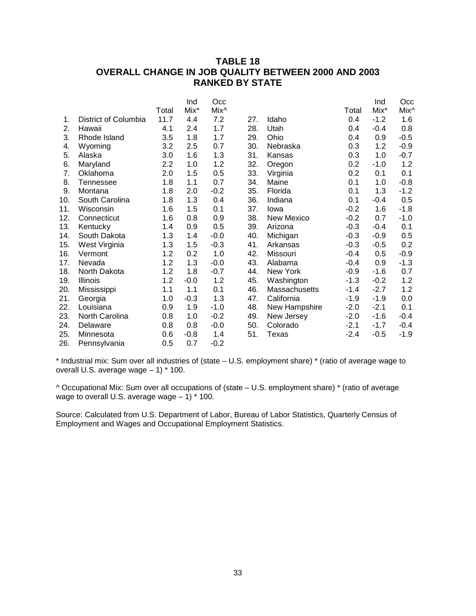# **TABLE 18 OVERALL CHANGE IN JOB QUALITY BETWEEN 2000 AND 2003 RANKED BY STATE**

|     |                      |       | Ind    | Occ    |     |               |        | Ind    | Occ    |
|-----|----------------------|-------|--------|--------|-----|---------------|--------|--------|--------|
|     |                      | Total | Mix*   | Mix^   |     |               | Total  | Mix*   | Mix^   |
| 1.  | District of Columbia | 11.7  | 4.4    | 7.2    | 27. | Idaho         | 0.4    | $-1.2$ | 1.6    |
| 2.  | Hawaii               | 4.1   | 2.4    | 1.7    | 28. | Utah          | 0.4    | $-0.4$ | 0.8    |
| 3.  | Rhode Island         | 3.5   | 1.8    | 1.7    | 29. | Ohio          | 0.4    | 0.9    | $-0.5$ |
| 4.  | Wyoming              | 3.2   | 2.5    | 0.7    | 30. | Nebraska      | 0.3    | 1.2    | $-0.9$ |
| 5.  | Alaska               | 3.0   | 1.6    | 1.3    | 31. | Kansas        | 0.3    | 1.0    | $-0.7$ |
| 6.  | Maryland             | 2.2   | 1.0    | 1.2    | 32. | Oregon        | 0.2    | $-1.0$ | 1.2    |
| 7.  | Oklahoma             | 2.0   | 1.5    | 0.5    | 33. | Virginia      | 0.2    | 0.1    | 0.1    |
| 8.  | <b>Tennessee</b>     | 1.8   | 1.1    | 0.7    | 34. | Maine         | 0.1    | 1.0    | $-0.8$ |
| 9.  | Montana              | 1.8   | 2.0    | $-0.2$ | 35. | Florida       | 0.1    | 1.3    | $-1.2$ |
| 10. | South Carolina       | 1.8   | 1.3    | 0.4    | 36. | Indiana       | 0.1    | $-0.4$ | 0.5    |
| 11. | Wisconsin            | 1.6   | 1.5    | 0.1    | 37. | lowa          | $-0.2$ | 1.6    | $-1.8$ |
| 12. | Connecticut          | 1.6   | 0.8    | 0.9    | 38. | New Mexico    | $-0.2$ | 0.7    | $-1.0$ |
| 13. | Kentucky             | 1.4   | 0.9    | 0.5    | 39. | Arizona       | $-0.3$ | $-0.4$ | 0.1    |
| 14. | South Dakota         | 1.3   | 1.4    | $-0.0$ | 40. | Michigan      | $-0.3$ | $-0.9$ | 0.5    |
| 15. | West Virginia        | 1.3   | 1.5    | $-0.3$ | 41. | Arkansas      | $-0.3$ | $-0.5$ | 0.2    |
| 16. | Vermont              | 1.2   | 0.2    | 1.0    | 42. | Missouri      | $-0.4$ | 0.5    | $-0.9$ |
| 17. | Nevada               | 1.2   | 1.3    | $-0.0$ | 43. | Alabama       | $-0.4$ | 0.9    | $-1.3$ |
| 18. | North Dakota         | 1.2   | 1.8    | $-0.7$ | 44. | New York      | $-0.9$ | $-1.6$ | 0.7    |
| 19. | <b>Illinois</b>      | 1.2   | $-0.0$ | 1.2    | 45. | Washington    | $-1.3$ | $-0.2$ | 1.2    |
| 20. | Mississippi          | 1.1   | 1.1    | 0.1    | 46. | Massachusetts | $-1.4$ | $-2.7$ | 1.2    |
| 21. | Georgia              | 1.0   | $-0.3$ | 1.3    | 47. | California    | $-1.9$ | $-1.9$ | 0.0    |
| 22. | Louisiana            | 0.9   | 1.9    | $-1.0$ | 48. | New Hampshire | $-2.0$ | $-2.1$ | 0.1    |
| 23. | North Carolina       | 0.8   | 1.0    | $-0.2$ | 49. | New Jersey    | $-2.0$ | $-1.6$ | $-0.4$ |
| 24. | Delaware             | 0.8   | 0.8    | $-0.0$ | 50. | Colorado      | $-2.1$ | $-1.7$ | $-0.4$ |
| 25. | Minnesota            | 0.6   | $-0.8$ | 1.4    | 51. | Texas         | $-2.4$ | $-0.5$ | $-1.9$ |
| 26. | Pennsylvania         | 0.5   | 0.7    | $-0.2$ |     |               |        |        |        |

\* Industrial mix: Sum over all industries of (state – U.S. employment share) \* (ratio of average wage to overall U.S. average wage – 1) \* 100.

^ Occupational Mix: Sum over all occupations of (state – U.S. employment share) \* (ratio of average wage to overall U.S. average wage – 1) \* 100.

Source: Calculated from U.S. Department of Labor, Bureau of Labor Statistics, Quarterly Census of Employment and Wages and Occupational Employment Statistics.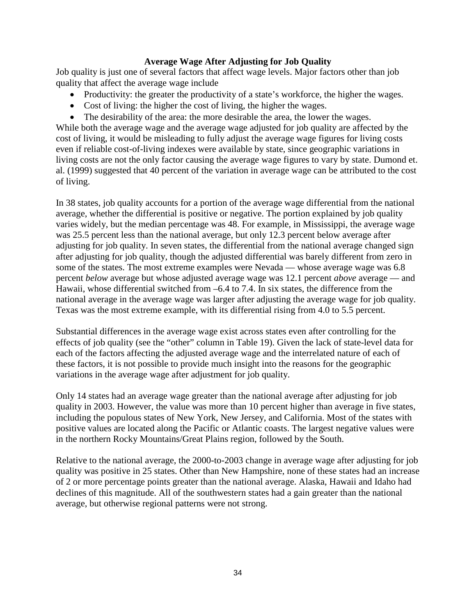#### **Average Wage After Adjusting for Job Quality**

Job quality is just one of several factors that affect wage levels. Major factors other than job quality that affect the average wage include

- Productivity: the greater the productivity of a state's workforce, the higher the wages.
- Cost of living: the higher the cost of living, the higher the wages.
- The desirability of the area: the more desirable the area, the lower the wages.

While both the average wage and the average wage adjusted for job quality are affected by the cost of living, it would be misleading to fully adjust the average wage figures for living costs even if reliable cost-of-living indexes were available by state, since geographic variations in living costs are not the only factor causing the average wage figures to vary by state. Dumond et. al. (1999) suggested that 40 percent of the variation in average wage can be attributed to the cost of living.

In 38 states, job quality accounts for a portion of the average wage differential from the national average, whether the differential is positive or negative. The portion explained by job quality varies widely, but the median percentage was 48. For example, in Mississippi, the average wage was 25.5 percent less than the national average, but only 12.3 percent below average after adjusting for job quality. In seven states, the differential from the national average changed sign after adjusting for job quality, though the adjusted differential was barely different from zero in some of the states. The most extreme examples were Nevada — whose average wage was 6.8 percent *below* average but whose adjusted average wage was 12.1 percent *above* average — and Hawaii, whose differential switched from –6.4 to 7.4. In six states, the difference from the national average in the average wage was larger after adjusting the average wage for job quality. Texas was the most extreme example, with its differential rising from 4.0 to 5.5 percent.

Substantial differences in the average wage exist across states even after controlling for the effects of job quality (see the "other" column in Table 19). Given the lack of state-level data for each of the factors affecting the adjusted average wage and the interrelated nature of each of these factors, it is not possible to provide much insight into the reasons for the geographic variations in the average wage after adjustment for job quality.

Only 14 states had an average wage greater than the national average after adjusting for job quality in 2003. However, the value was more than 10 percent higher than average in five states, including the populous states of New York, New Jersey, and California. Most of the states with positive values are located along the Pacific or Atlantic coasts. The largest negative values were in the northern Rocky Mountains/Great Plains region, followed by the South.

Relative to the national average, the 2000-to-2003 change in average wage after adjusting for job quality was positive in 25 states. Other than New Hampshire, none of these states had an increase of 2 or more percentage points greater than the national average. Alaska, Hawaii and Idaho had declines of this magnitude. All of the southwestern states had a gain greater than the national average, but otherwise regional patterns were not strong.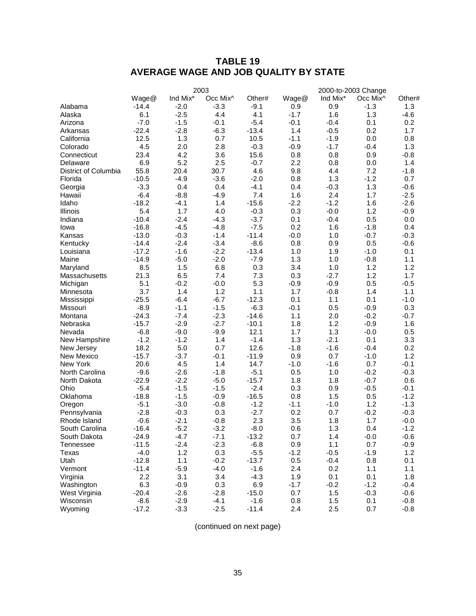# **TABLE 19 AVERAGE WAGE AND JOB QUALITY BY STATE**

|                      |         |          | 2003                 |         |        |          | 2000-to-2003 Change  |        |
|----------------------|---------|----------|----------------------|---------|--------|----------|----------------------|--------|
|                      | Wage@   | Ind Mix* | Occ Mix <sup>^</sup> | Other#  | Wage@  | Ind Mix* | Occ Mix <sup>^</sup> | Other# |
| Alabama              | $-14.4$ | $-2.0$   | $-3.3$               | $-9.1$  | 0.9    | 0.9      | $-1.3$               | 1.3    |
| Alaska               | 6.1     | $-2.5$   | 4.4                  | 4.1     | $-1.7$ | 1.6      | 1.3                  | $-4.6$ |
| Arizona              | $-7.0$  | $-1.5$   | $-0.1$               | $-5.4$  | $-0.1$ | $-0.4$   | 0.1                  | 0.2    |
| Arkansas             | $-22.4$ | $-2.8$   | $-6.3$               | $-13.4$ | 1.4    | $-0.5$   | 0.2                  | 1.7    |
| California           | 12.5    | 1.3      | 0.7                  | 10.5    | $-1.1$ | $-1.9$   | 0.0                  | 0.8    |
| Colorado             | 4.5     | 2.0      | 2.8                  | $-0.3$  | $-0.9$ | $-1.7$   | $-0.4$               | 1.3    |
| Connecticut          | 23.4    | 4.2      | 3.6                  | 15.6    | 0.8    | 0.8      | 0.9                  | $-0.8$ |
| Delaware             | 6.9     | 5.2      | 2.5                  | $-0.7$  | 2.2    | 0.8      | 0.0                  | 1.4    |
| District of Columbia | 55.8    | 20.4     | 30.7                 | 4.6     | 9.8    | 4.4      | 7.2                  | $-1.8$ |
| Florida              | $-10.5$ | $-4.9$   | $-3.6$               | $-2.0$  | 0.8    | 1.3      | $-1.2$               | 0.7    |
| Georgia              | $-3.3$  | 0.4      | 0.4                  | $-4.1$  | 0.4    | $-0.3$   | 1.3                  | $-0.6$ |
| Hawaii               | $-6.4$  | $-8.8$   | $-4.9$               | 7.4     | 1.6    | 2.4      | 1.7                  | $-2.5$ |
| Idaho                | $-18.2$ | $-4.1$   | 1.4                  | $-15.6$ | $-2.2$ | $-1.2$   | 1.6                  | $-2.6$ |
| Illinois             | 5.4     | 1.7      | 4.0                  | $-0.3$  | 0.3    | $-0.0$   | 1.2                  | $-0.9$ |
| Indiana              | $-10.4$ | $-2.4$   | $-4.3$               | $-3.7$  | 0.1    | $-0.4$   | 0.5                  | 0.0    |
| Iowa                 | $-16.8$ | $-4.5$   | $-4.8$               | $-7.5$  | 0.2    | 1.6      | $-1.8$               | 0.4    |
| Kansas               | $-13.0$ | $-0.3$   | $-1.4$               | $-11.4$ | $-0.0$ | 1.0      | $-0.7$               | $-0.3$ |
| Kentucky             | $-14.4$ | $-2.4$   | $-3.4$               | $-8.6$  | 0.8    | 0.9      | 0.5                  | $-0.6$ |
| Louisiana            | $-17.2$ | $-1.6$   | $-2.2$               | $-13.4$ | 1.0    | 1.9      | $-1.0$               | 0.1    |
| Maine                | $-14.9$ | $-5.0$   | $-2.0$               | $-7.9$  | 1.3    | 1.0      | $-0.8$               | 1.1    |
| Maryland             | 8.5     | 1.5      | 6.8                  | 0.3     | 3.4    | 1.0      | 1.2                  | 1.2    |
| Massachusetts        | 21.3    | 6.5      | 7.4                  | 7.3     | 0.3    | $-2.7$   | 1.2                  | 1.7    |
| Michigan             | 5.1     | $-0.2$   | $-0.0$               | 5.3     | $-0.9$ | $-0.9$   | 0.5                  | $-0.5$ |
| Minnesota            | 3.7     | 1.4      | 1.2                  | 1.1     | 1.7    | $-0.8$   | 1.4                  | 1.1    |
| Mississippi          | $-25.5$ | $-6.4$   | $-6.7$               | $-12.3$ | 0.1    | 1.1      | 0.1                  | $-1.0$ |
| Missouri             | $-8.9$  | $-1.1$   | $-1.5$               | $-6.3$  | $-0.1$ | 0.5      | $-0.9$               | 0.3    |
| Montana              | $-24.3$ | $-7.4$   | $-2.3$               | $-14.6$ | 1.1    | 2.0      | $-0.2$               | $-0.7$ |
| Nebraska             | $-15.7$ | $-2.9$   | $-2.7$               | $-10.1$ | 1.8    | 1.2      | $-0.9$               | 1.6    |
| Nevada               | $-6.8$  | $-9.0$   | $-9.9$               | 12.1    | 1.7    | 1.3      | $-0.0$               | 0.5    |
| New Hampshire        | $-1.2$  | $-1.2$   | 1.4                  | $-1.4$  | 1.3    | $-2.1$   | 0.1                  | 3.3    |
| New Jersey           | 18.2    | 5.0      | 0.7                  | 12.6    | $-1.8$ | $-1.6$   | $-0.4$               | 0.2    |
| New Mexico           | $-15.7$ | $-3.7$   | $-0.1$               | $-11.9$ | 0.9    | 0.7      | $-1.0$               | 1.2    |
| New York             | 20.6    | 4.5      | 1.4                  | 14.7    | $-1.0$ | $-1.6$   | 0.7                  | $-0.1$ |
| North Carolina       | $-9.6$  | $-2.6$   | $-1.8$               | $-5.1$  | 0.5    | 1.0      | $-0.2$               | $-0.3$ |
| North Dakota         | $-22.9$ | $-2.2$   | $-5.0$               | $-15.7$ | 1.8    | 1.8      | $-0.7$               | 0.6    |
| Ohio                 | $-5.4$  | $-1.5$   | $-1.5$               | $-2.4$  | 0.3    | 0.9      | $-0.5$               | $-0.1$ |
| Oklahoma             | $-18.8$ | $-1.5$   | $-0.9$               | $-16.5$ | 0.8    | 1.5      | 0.5                  | $-1.2$ |
| Oregon               | $-5.1$  | $-3.0$   | $-0.8$               | $-1.2$  | $-1.1$ | $-1.0$   | 1.2                  | $-1.3$ |
| Pennsylvania         | $-2.8$  | $-0.3$   | 0.3                  | $-2.7$  | 0.2    | 0.7      | $-0.2$               | $-0.3$ |
| Rhode Island         | $-0.6$  | $-2.1$   | $-0.8$               | 2.3     | 3.5    | 1.8      | 1.7                  | $-0.0$ |
| South Carolina       | $-16.4$ | $-5.2$   | $-3.2$               | $-8.0$  | 0.6    | 1.3      | 0.4                  | $-1.2$ |
| South Dakota         | $-24.9$ | $-4.7$   | $-7.1$               | $-13.2$ | 0.7    | 1.4      | $-0.0$               | $-0.6$ |
| Tennessee            | $-11.5$ | $-2.4$   | $-2.3$               | $-6.8$  | 0.9    | 1.1      | 0.7                  | $-0.9$ |
| Texas                | $-4.0$  | 1.2      | 0.3                  | $-5.5$  | $-1.2$ | $-0.5$   | $-1.9$               | 1.2    |
| Utah                 | $-12.8$ | 1.1      | $-0.2$               | $-13.7$ | 0.5    | $-0.4$   | 0.8                  | 0.1    |
| Vermont              | $-11.4$ | $-5.9$   | $-4.0$               | $-1.6$  | 2.4    | 0.2      | 1.1                  | 1.1    |
| Virginia             | 2.2     | 3.1      | 3.4                  | $-4.3$  | 1.9    | 0.1      | 0.1                  | 1.8    |
| Washington           | 6.3     | $-0.9$   | 0.3                  | 6.9     | $-1.7$ | $-0.2$   | $-1.2$               | $-0.4$ |
| West Virginia        | $-20.4$ | $-2.6$   | $-2.8$               | $-15.0$ | 0.7    | 1.5      | $-0.3$               | $-0.6$ |
| Wisconsin            | $-8.6$  | $-2.9$   | $-4.1$               | $-1.6$  | 0.8    | 1.5      | 0.1                  | $-0.8$ |
| Wyoming              | $-17.2$ | $-3.3$   | $-2.5$               | $-11.4$ | 2.4    | 2.5      | 0.7                  | $-0.8$ |

(continued on next page)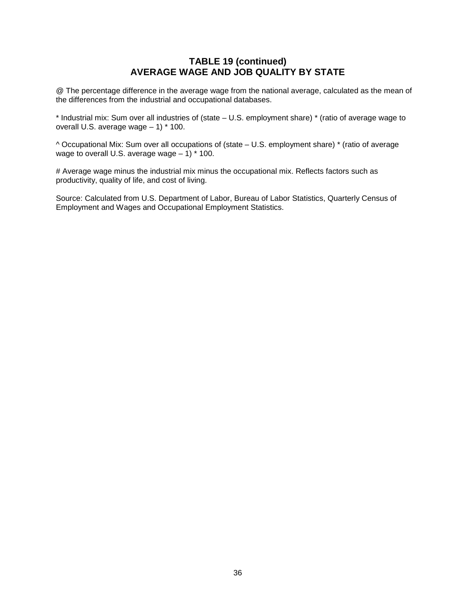# **TABLE 19 (continued) AVERAGE WAGE AND JOB QUALITY BY STATE**

@ The percentage difference in the average wage from the national average, calculated as the mean of the differences from the industrial and occupational databases.

\* Industrial mix: Sum over all industries of (state – U.S. employment share) \* (ratio of average wage to overall U.S. average wage – 1) \* 100.

^ Occupational Mix: Sum over all occupations of (state – U.S. employment share) \* (ratio of average wage to overall U.S. average wage  $-1$ )  $*$  100.

# Average wage minus the industrial mix minus the occupational mix. Reflects factors such as productivity, quality of life, and cost of living.

Source: Calculated from U.S. Department of Labor, Bureau of Labor Statistics, Quarterly Census of Employment and Wages and Occupational Employment Statistics.